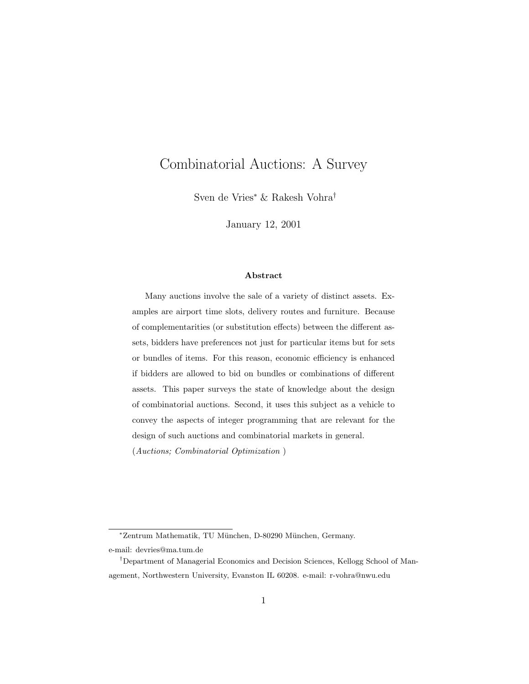# Combinatorial Auctions: A Survey

Sven de Vries<sup>∗</sup> & Rakesh Vohra†

January 12, 2001

#### Abstract

Many auctions involve the sale of a variety of distinct assets. Examples are airport time slots, delivery routes and furniture. Because of complementarities (or substitution effects) between the different assets, bidders have preferences not just for particular items but for sets or bundles of items. For this reason, economic efficiency is enhanced if bidders are allowed to bid on bundles or combinations of different assets. This paper surveys the state of knowledge about the design of combinatorial auctions. Second, it uses this subject as a vehicle to convey the aspects of integer programming that are relevant for the design of such auctions and combinatorial markets in general.

(Auctions; Combinatorial Optimization )

e-mail: devries@ma.tum.de

<sup>∗</sup>Zentrum Mathematik, TU M¨unchen, D-80290 M¨unchen, Germany.

<sup>†</sup>Department of Managerial Economics and Decision Sciences, Kellogg School of Management, Northwestern University, Evanston IL 60208. e-mail: r-vohra@nwu.edu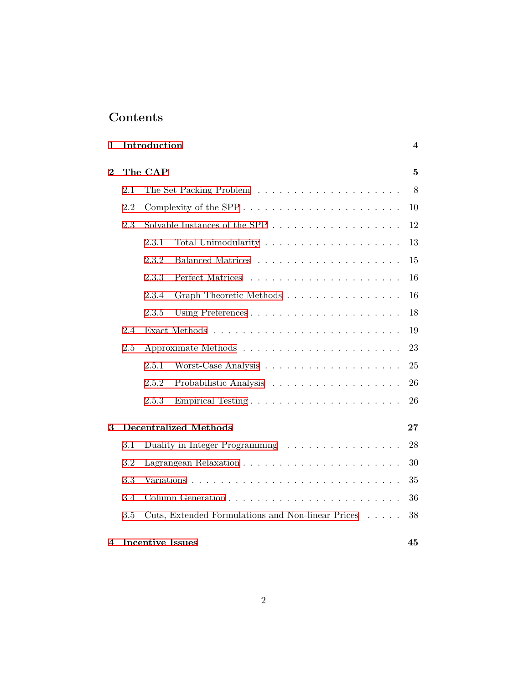# Contents

| 1        | Introduction<br>$\bf{4}$      |                                                                            |    |  |  |  |  |  |  |  |  |
|----------|-------------------------------|----------------------------------------------------------------------------|----|--|--|--|--|--|--|--|--|
| $\bf{2}$ |                               | The CAP                                                                    |    |  |  |  |  |  |  |  |  |
|          | 2.1                           | The Set Packing Problem $\ldots \ldots \ldots \ldots \ldots \ldots \ldots$ |    |  |  |  |  |  |  |  |  |
|          | 2.2                           |                                                                            | 10 |  |  |  |  |  |  |  |  |
|          | 2.3                           |                                                                            | 12 |  |  |  |  |  |  |  |  |
|          |                               | 2.3.1                                                                      | 13 |  |  |  |  |  |  |  |  |
|          |                               | 2.3.2                                                                      | 15 |  |  |  |  |  |  |  |  |
|          |                               | 2.3.3                                                                      | 16 |  |  |  |  |  |  |  |  |
|          |                               | 2.3.4<br>Graph Theoretic Methods                                           | 16 |  |  |  |  |  |  |  |  |
|          |                               | 2.3.5                                                                      | 18 |  |  |  |  |  |  |  |  |
|          | 2.4                           |                                                                            | 19 |  |  |  |  |  |  |  |  |
|          | 2.5                           |                                                                            | 23 |  |  |  |  |  |  |  |  |
|          |                               | 2.5.1                                                                      | 25 |  |  |  |  |  |  |  |  |
|          |                               | 2.5.2<br>Probabilistic Analysis                                            | 26 |  |  |  |  |  |  |  |  |
|          |                               | 2.5.3                                                                      | 26 |  |  |  |  |  |  |  |  |
| 3        |                               | <b>Decentralized Methods</b>                                               |    |  |  |  |  |  |  |  |  |
|          | 3.1                           | Duality in Integer Programming<br>28                                       |    |  |  |  |  |  |  |  |  |
|          | 3.2                           |                                                                            |    |  |  |  |  |  |  |  |  |
|          | 3.3                           |                                                                            |    |  |  |  |  |  |  |  |  |
|          | 3.4                           |                                                                            |    |  |  |  |  |  |  |  |  |
|          | 3.5                           | Cuts, Extended Formulations and Non-linear Prices                          | 38 |  |  |  |  |  |  |  |  |
| 4        | <b>Incentive Issues</b><br>45 |                                                                            |    |  |  |  |  |  |  |  |  |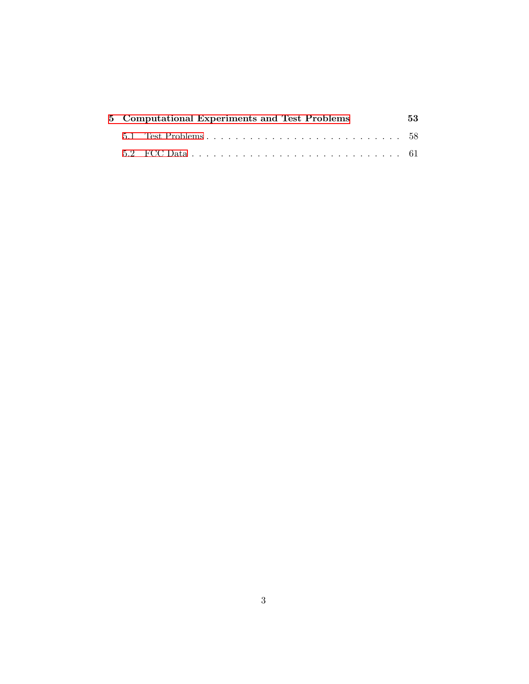|  | 5 Computational Experiments and Test Problems |  |  |  |  |  |  |  |
|--|-----------------------------------------------|--|--|--|--|--|--|--|
|  |                                               |  |  |  |  |  |  |  |
|  |                                               |  |  |  |  |  |  |  |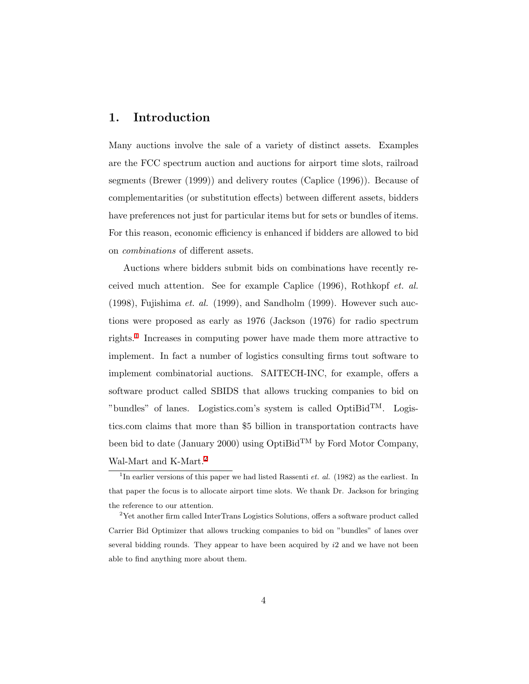## <span id="page-3-0"></span>1. Introduction

Many auctions involve the sale of a variety of distinct assets. Examples are the FCC spectrum auction and auctions for airport time slots, railroad segments (Brewer (1999)) and delivery routes (Caplice (1996)). Because of complementarities (or substitution effects) between different assets, bidders have preferences not just for particular items but for sets or bundles of items. For this reason, economic efficiency is enhanced if bidders are allowed to bid on combinations of different assets.

Auctions where bidders submit bids on combinations have recently received much attention. See for example Caplice (1996), Rothkopf et. al. (1998), Fujishima et. al. (1999), and Sandholm (1999). However such auctions were proposed as early as 1976 (Jackson (1976) for radio spectrum rights.<sup>1</sup> Increases in computing power have made them more attractive to implement. In fact a number of logistics consulting firms tout software to implement combinatorial auctions. SAITECH-INC, for example, offers a software product called SBIDS that allows trucking companies to bid on "bundles" of lanes. Logistics.com's system is called OptiBid<sup>TM</sup>. Logistics.com claims that more than \$5 billion in transportation contracts have been bid to date (January 2000) using OptiBid<sup>TM</sup> by Ford Motor Company, Wal-Mart and K-Mart.<sup>2</sup>

<sup>2</sup>Yet another firm called InterTrans Logistics Solutions, offers a software product called Carrier Bid Optimizer that allows trucking companies to bid on "bundles" of lanes over several bidding rounds. They appear to have been acquired by  $i2$  and we have not been able to find anything more about them.

<sup>&</sup>lt;sup>1</sup>In earlier versions of this paper we had listed Rassenti *et. al.* (1982) as the earliest. In that paper the focus is to allocate airport time slots. We thank Dr. Jackson for bringing the reference to our attention.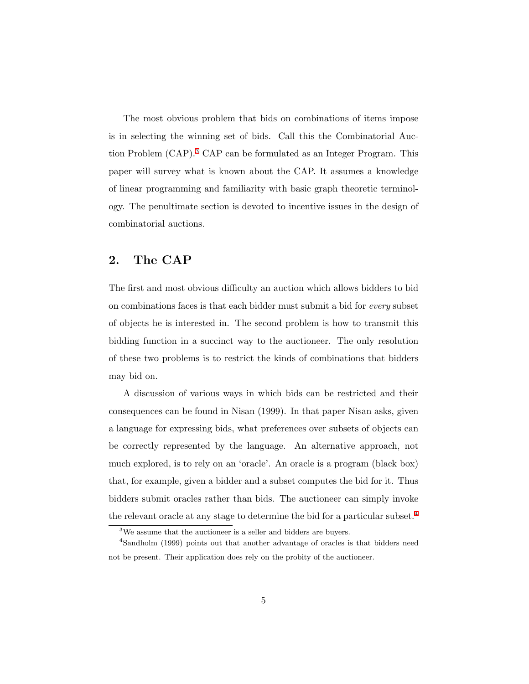<span id="page-4-0"></span>The most obvious problem that bids on combinations of items impose is in selecting the winning set of bids. Call this the Combinatorial Auction Problem (CAP).<sup>3</sup> CAP can be formulated as an Integer Program. This paper will survey what is known about the CAP. It assumes a knowledge of linear programming and familiarity with basic graph theoretic terminology. The penultimate section is devoted to incentive issues in the design of combinatorial auctions.

## 2. The CAP

The first and most obvious difficulty an auction which allows bidders to bid on combinations faces is that each bidder must submit a bid for every subset of objects he is interested in. The second problem is how to transmit this bidding function in a succinct way to the auctioneer. The only resolution of these two problems is to restrict the kinds of combinations that bidders may bid on.

A discussion of various ways in which bids can be restricted and their consequences can be found in Nisan (1999). In that paper Nisan asks, given a language for expressing bids, what preferences over subsets of objects can be correctly represented by the language. An alternative approach, not much explored, is to rely on an 'oracle'. An oracle is a program (black box) that, for example, given a bidder and a subset computes the bid for it. Thus bidders submit oracles rather than bids. The auctioneer can simply invoke the relevant oracle at any stage to determine the bid for a particular subset.<sup>4</sup>

<sup>3</sup>We assume that the auctioneer is a seller and bidders are buyers.

<sup>4</sup>Sandholm (1999) points out that another advantage of oracles is that bidders need not be present. Their application does rely on the probity of the auctioneer.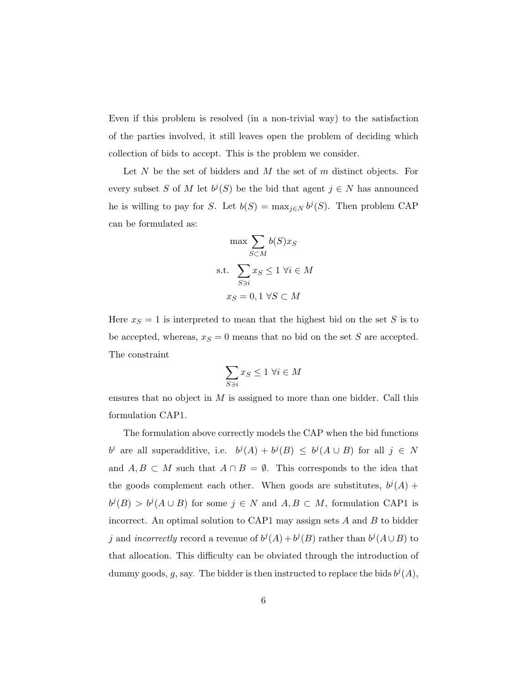Even if this problem is resolved (in a non-trivial way) to the satisfaction of the parties involved, it still leaves open the problem of deciding which collection of bids to accept. This is the problem we consider.

Let  $N$  be the set of bidders and  $M$  the set of  $m$  distinct objects. For every subset S of M let  $b^j(S)$  be the bid that agent  $j \in N$  has announced he is willing to pay for S. Let  $b(S) = \max_{j \in N} b^{j}(S)$ . Then problem CAP can be formulated as:

$$
\max \sum_{S \subset M} b(S)x_S
$$
  
s.t. 
$$
\sum_{S \ni i} x_S \le 1 \ \forall i \in M
$$

$$
x_S = 0, 1 \ \forall S \subset M
$$

Here  $x_S = 1$  is interpreted to mean that the highest bid on the set S is to be accepted, whereas,  $x_S = 0$  means that no bid on the set S are accepted. The constraint

$$
\sum_{S \ni i} x_S \le 1 \,\,\forall i \in M
$$

ensures that no object in  $M$  is assigned to more than one bidder. Call this formulation CAP1.

The formulation above correctly models the CAP when the bid functions  $b^i$  are all superadditive, i.e.  $b^j(A) + b^j(B) \leq b^j(A \cup B)$  for all  $j \in N$ and  $A, B \subset M$  such that  $A \cap B = \emptyset$ . This corresponds to the idea that the goods complement each other. When goods are substitutes,  $b^{j}(A)$  +  $b^j(B) > b^j(A \cup B)$  for some  $j \in N$  and  $A, B \subset M$ , formulation CAP1 is incorrect. An optimal solution to CAP1 may assign sets  $A$  and  $B$  to bidder j and *incorrectly* record a revenue of  $b^{j}(A) + b^{j}(B)$  rather than  $b^{j}(A \cup B)$  to that allocation. This difficulty can be obviated through the introduction of dummy goods, g, say. The bidder is then instructed to replace the bids  $b^{j}(A)$ ,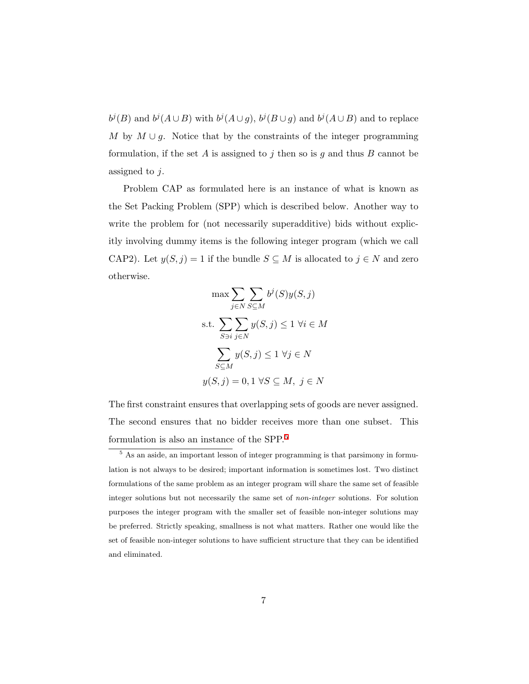$b^{j}(B)$  and  $b^{j}(A \cup B)$  with  $b^{j}(A \cup g)$ ,  $b^{j}(B \cup g)$  and  $b^{j}(A \cup B)$  and to replace M by  $M \cup g$ . Notice that by the constraints of the integer programming formulation, if the set A is assigned to j then so is  $g$  and thus B cannot be assigned to  $j$ .

Problem CAP as formulated here is an instance of what is known as the Set Packing Problem (SPP) which is described below. Another way to write the problem for (not necessarily superadditive) bids without explicitly involving dummy items is the following integer program (which we call CAP2). Let  $y(S, j) = 1$  if the bundle  $S \subseteq M$  is allocated to  $j \in N$  and zero otherwise.

$$
\max \sum_{j \in N} \sum_{S \subseteq M} b^{j}(S)y(S, j)
$$
  
s.t. 
$$
\sum_{S \ni j \in N} y(S, j) \leq 1 \ \forall i \in M
$$

$$
\sum_{S \subseteq M} y(S, j) \leq 1 \ \forall j \in N
$$

$$
y(S, j) = 0, 1 \ \forall S \subseteq M, \ j \in N
$$

The first constraint ensures that overlapping sets of goods are never assigned. The second ensures that no bidder receives more than one subset. This formulation is also an instance of the SPP.<sup>5</sup>

<sup>&</sup>lt;sup>5</sup> As an aside, an important lesson of integer programming is that parsimony in formulation is not always to be desired; important information is sometimes lost. Two distinct formulations of the same problem as an integer program will share the same set of feasible integer solutions but not necessarily the same set of non-integer solutions. For solution purposes the integer program with the smaller set of feasible non-integer solutions may be preferred. Strictly speaking, smallness is not what matters. Rather one would like the set of feasible non-integer solutions to have sufficient structure that they can be identified and eliminated.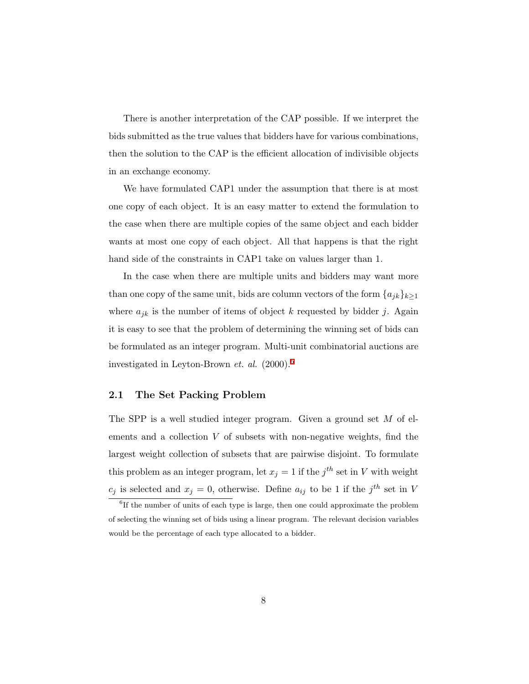<span id="page-7-0"></span>There is another interpretation of the CAP possible. If we interpret the bids submitted as the true values that bidders have for various combinations, then the solution to the CAP is the efficient allocation of indivisible objects in an exchange economy.

We have formulated CAP1 under the assumption that there is at most one copy of each object. It is an easy matter to extend the formulation to the case when there are multiple copies of the same object and each bidder wants at most one copy of each object. All that happens is that the right hand side of the constraints in CAP1 take on values larger than 1.

In the case when there are multiple units and bidders may want more than one copy of the same unit, bids are column vectors of the form  $\{a_{jk}\}_{k>1}$ where  $a_{jk}$  is the number of items of object k requested by bidder j. Again it is easy to see that the problem of determining the winning set of bids can be formulated as an integer program. Multi-unit combinatorial auctions are investigated in Leyton-Brown et. al. (2000).<sup>6</sup>

#### 2.1 The Set Packing Problem

The SPP is a well studied integer program. Given a ground set  $M$  of elements and a collection  $V$  of subsets with non-negative weights, find the largest weight collection of subsets that are pairwise disjoint. To formulate this problem as an integer program, let  $x_j = 1$  if the  $j<sup>th</sup>$  set in V with weight  $c_j$  is selected and  $x_j = 0$ , otherwise. Define  $a_{ij}$  to be 1 if the  $j<sup>th</sup>$  set in V

<sup>&</sup>lt;sup>6</sup>If the number of units of each type is large, then one could approximate the problem of selecting the winning set of bids using a linear program. The relevant decision variables would be the percentage of each type allocated to a bidder.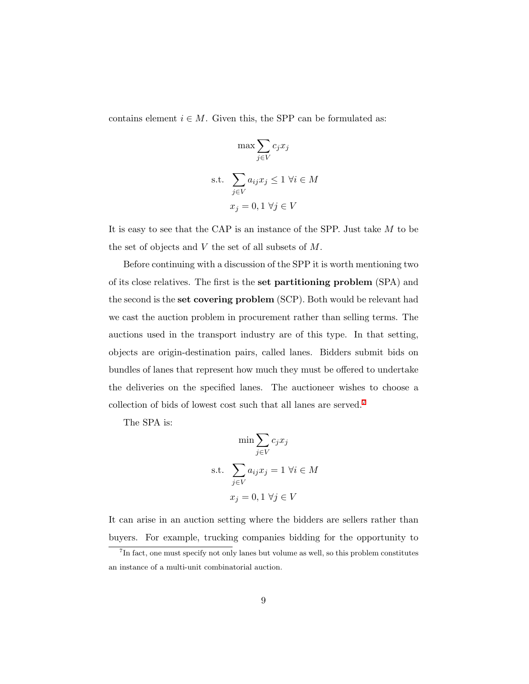contains element  $i \in M$ . Given this, the SPP can be formulated as:

$$
\max \sum_{j \in V} c_j x_j
$$
  
s.t. 
$$
\sum_{j \in V} a_{ij} x_j \le 1 \ \forall i \in M
$$

$$
x_j = 0, 1 \ \forall j \in V
$$

It is easy to see that the CAP is an instance of the SPP. Just take M to be the set of objects and  $V$  the set of all subsets of  $M$ .

Before continuing with a discussion of the SPP it is worth mentioning two of its close relatives. The first is the set partitioning problem (SPA) and the second is the **set covering problem** (SCP). Both would be relevant had we cast the auction problem in procurement rather than selling terms. The auctions used in the transport industry are of this type. In that setting, objects are origin-destination pairs, called lanes. Bidders submit bids on bundles of lanes that represent how much they must be offered to undertake the deliveries on the specified lanes. The auctioneer wishes to choose a collection of bids of lowest cost such that all lanes are served.<sup>7</sup>

The SPA is:

$$
\min \sum_{j \in V} c_j x_j
$$
  
s.t. 
$$
\sum_{j \in V} a_{ij} x_j = 1 \ \forall i \in M
$$

$$
x_j = 0, 1 \ \forall j \in V
$$

It can arise in an auction setting where the bidders are sellers rather than buyers. For example, trucking companies bidding for the opportunity to

<sup>7</sup> In fact, one must specify not only lanes but volume as well, so this problem constitutes an instance of a multi-unit combinatorial auction.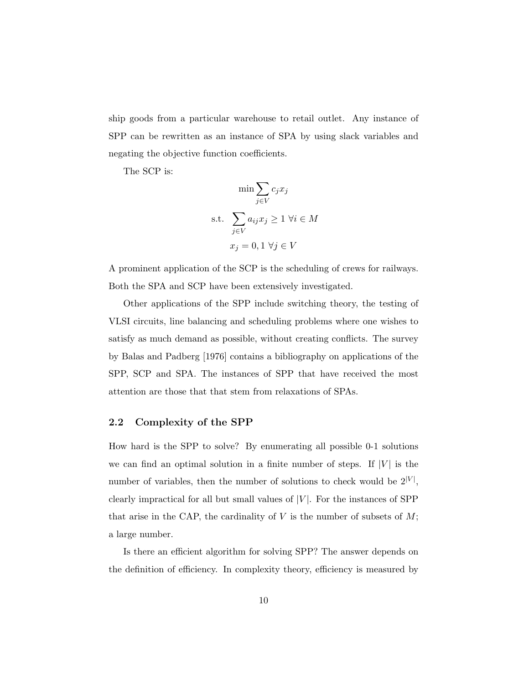<span id="page-9-0"></span>ship goods from a particular warehouse to retail outlet. Any instance of SPP can be rewritten as an instance of SPA by using slack variables and negating the objective function coefficients.

The SCP is:

$$
\min \sum_{j \in V} c_j x_j
$$
  
s.t. 
$$
\sum_{j \in V} a_{ij} x_j \ge 1 \ \forall i \in M
$$

$$
x_j = 0, 1 \ \forall j \in V
$$

A prominent application of the SCP is the scheduling of crews for railways. Both the SPA and SCP have been extensively investigated.

Other applications of the SPP include switching theory, the testing of VLSI circuits, line balancing and scheduling problems where one wishes to satisfy as much demand as possible, without creating conflicts. The survey by Balas and Padberg [1976] contains a bibliography on applications of the SPP, SCP and SPA. The instances of SPP that have received the most attention are those that that stem from relaxations of SPAs.

## 2.2 Complexity of the SPP

How hard is the SPP to solve? By enumerating all possible 0-1 solutions we can find an optimal solution in a finite number of steps. If  $|V|$  is the number of variables, then the number of solutions to check would be  $2^{|V|}$ , clearly impractical for all but small values of  $|V|$ . For the instances of SPP that arise in the CAP, the cardinality of  $V$  is the number of subsets of  $M$ ; a large number.

Is there an efficient algorithm for solving SPP? The answer depends on the definition of efficiency. In complexity theory, efficiency is measured by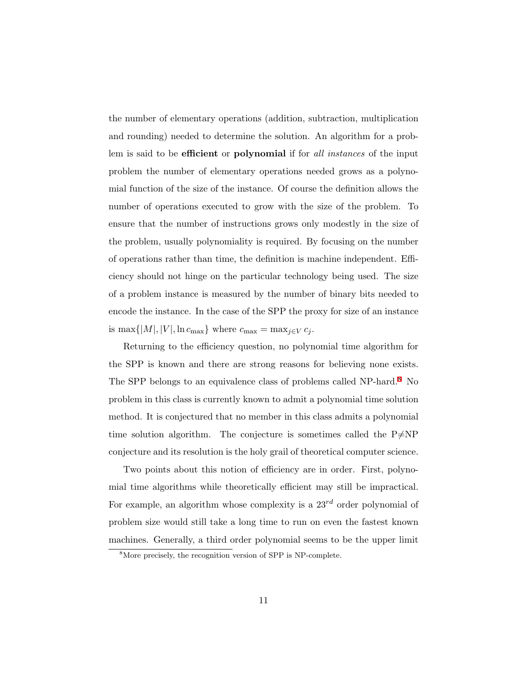the number of elementary operations (addition, subtraction, multiplication and rounding) needed to determine the solution. An algorithm for a problem is said to be **efficient** or **polynomial** if for all instances of the input problem the number of elementary operations needed grows as a polynomial function of the size of the instance. Of course the definition allows the number of operations executed to grow with the size of the problem. To ensure that the number of instructions grows only modestly in the size of the problem, usually polynomiality is required. By focusing on the number of operations rather than time, the definition is machine independent. Efficiency should not hinge on the particular technology being used. The size of a problem instance is measured by the number of binary bits needed to encode the instance. In the case of the SPP the proxy for size of an instance is max $\{|M|, |V|, \ln c_{\text{max}}\}$  where  $c_{\text{max}} = \max_{j \in V} c_j$ .

Returning to the efficiency question, no polynomial time algorithm for the SPP is known and there are strong reasons for believing none exists. The SPP belongs to an equivalence class of problems called NP-hard.<sup>8</sup> No problem in this class is currently known to admit a polynomial time solution method. It is conjectured that no member in this class admits a polynomial time solution algorithm. The conjecture is sometimes called the  $P\neq NP$ conjecture and its resolution is the holy grail of theoretical computer science.

Two points about this notion of efficiency are in order. First, polynomial time algorithms while theoretically efficient may still be impractical. For example, an algorithm whose complexity is a  $23^{rd}$  order polynomial of problem size would still take a long time to run on even the fastest known machines. Generally, a third order polynomial seems to be the upper limit

<sup>8</sup>More precisely, the recognition version of SPP is NP-complete.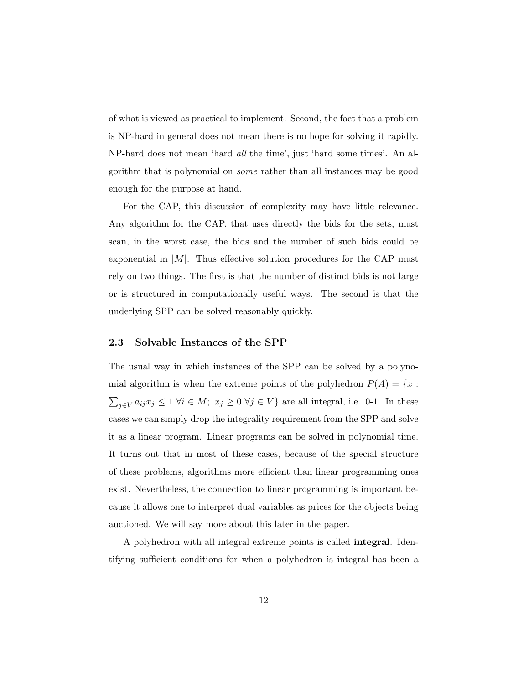<span id="page-11-0"></span>of what is viewed as practical to implement. Second, the fact that a problem is NP-hard in general does not mean there is no hope for solving it rapidly. NP-hard does not mean 'hard all the time', just 'hard some times'. An algorithm that is polynomial on some rather than all instances may be good enough for the purpose at hand.

For the CAP, this discussion of complexity may have little relevance. Any algorithm for the CAP, that uses directly the bids for the sets, must scan, in the worst case, the bids and the number of such bids could be exponential in  $|M|$ . Thus effective solution procedures for the CAP must rely on two things. The first is that the number of distinct bids is not large or is structured in computationally useful ways. The second is that the underlying SPP can be solved reasonably quickly.

## 2.3 Solvable Instances of the SPP

The usual way in which instances of the SPP can be solved by a polynomial algorithm is when the extreme points of the polyhedron  $P(A) = \{x :$  $\sum_{j\in V} a_{ij} x_j \leq 1 \ \forall i \in M; \ x_j \geq 0 \ \forall j \in V$  are all integral, i.e. 0-1. In these cases we can simply drop the integrality requirement from the SPP and solve it as a linear program. Linear programs can be solved in polynomial time. It turns out that in most of these cases, because of the special structure of these problems, algorithms more efficient than linear programming ones exist. Nevertheless, the connection to linear programming is important because it allows one to interpret dual variables as prices for the objects being auctioned. We will say more about this later in the paper.

A polyhedron with all integral extreme points is called integral. Identifying sufficient conditions for when a polyhedron is integral has been a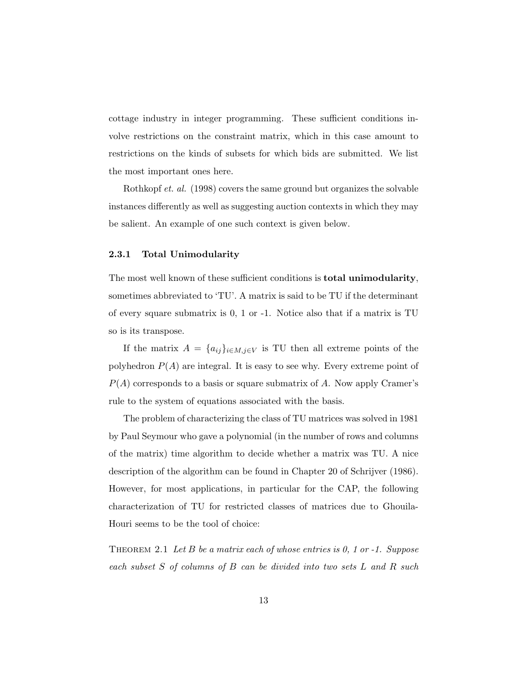<span id="page-12-0"></span>cottage industry in integer programming. These sufficient conditions involve restrictions on the constraint matrix, which in this case amount to restrictions on the kinds of subsets for which bids are submitted. We list the most important ones here.

Rothkopf et. al. (1998) covers the same ground but organizes the solvable instances differently as well as suggesting auction contexts in which they may be salient. An example of one such context is given below.

### 2.3.1 Total Unimodularity

The most well known of these sufficient conditions is total unimodularity, sometimes abbreviated to 'TU'. A matrix is said to be TU if the determinant of every square submatrix is 0, 1 or -1. Notice also that if a matrix is TU so is its transpose.

If the matrix  $A = \{a_{ij}\}_{i \in M, j \in V}$  is TU then all extreme points of the polyhedron  $P(A)$  are integral. It is easy to see why. Every extreme point of  $P(A)$  corresponds to a basis or square submatrix of A. Now apply Cramer's rule to the system of equations associated with the basis.

The problem of characterizing the class of TU matrices was solved in 1981 by Paul Seymour who gave a polynomial (in the number of rows and columns of the matrix) time algorithm to decide whether a matrix was TU. A nice description of the algorithm can be found in Chapter 20 of Schrijver (1986). However, for most applications, in particular for the CAP, the following characterization of TU for restricted classes of matrices due to Ghouila-Houri seems to be the tool of choice:

THEOREM 2.1 Let B be a matrix each of whose entries is  $\theta$ , 1 or -1. Suppose each subset S of columns of B can be divided into two sets L and R such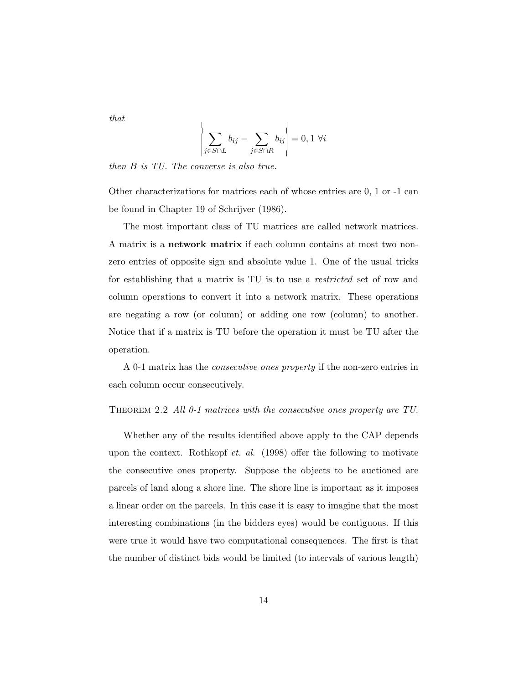that

$$
\left| \sum_{j \in S \cap L} b_{ij} - \sum_{j \in S \cap R} b_{ij} \right| = 0, 1 \,\forall i
$$

then B is TU. The converse is also true.

Other characterizations for matrices each of whose entries are 0, 1 or -1 can be found in Chapter 19 of Schrijver (1986).

The most important class of TU matrices are called network matrices. A matrix is a network matrix if each column contains at most two nonzero entries of opposite sign and absolute value 1. One of the usual tricks for establishing that a matrix is TU is to use a restricted set of row and column operations to convert it into a network matrix. These operations are negating a row (or column) or adding one row (column) to another. Notice that if a matrix is TU before the operation it must be TU after the operation.

A 0-1 matrix has the consecutive ones property if the non-zero entries in each column occur consecutively.

#### THEOREM 2.2 All 0-1 matrices with the consecutive ones property are TU.

Whether any of the results identified above apply to the CAP depends upon the context. Rothkopf *et. al.* (1998) offer the following to motivate the consecutive ones property. Suppose the objects to be auctioned are parcels of land along a shore line. The shore line is important as it imposes a linear order on the parcels. In this case it is easy to imagine that the most interesting combinations (in the bidders eyes) would be contiguous. If this were true it would have two computational consequences. The first is that the number of distinct bids would be limited (to intervals of various length)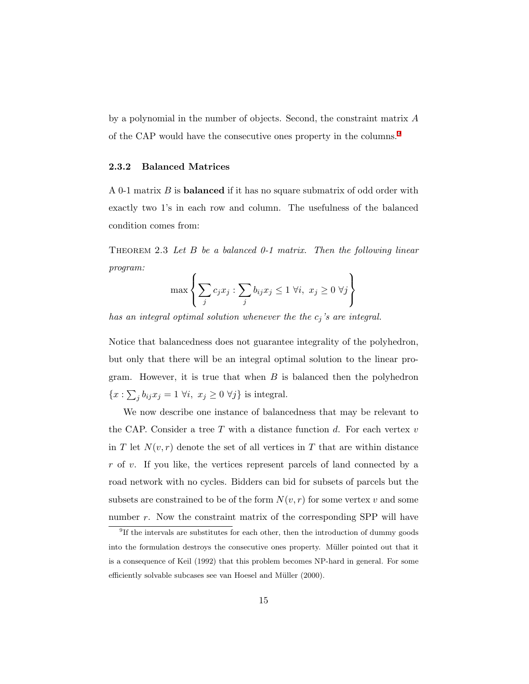<span id="page-14-0"></span>by a polynomial in the number of objects. Second, the constraint matrix A of the CAP would have the consecutive ones property in the columns.<sup>9</sup>

#### 2.3.2 Balanced Matrices

A 0-1 matrix  $B$  is **balanced** if it has no square submatrix of odd order with exactly two 1's in each row and column. The usefulness of the balanced condition comes from:

THEOREM 2.3 Let B be a balanced 0-1 matrix. Then the following linear program:

$$
\max \left\{ \sum_{j} c_j x_j : \sum_{j} b_{ij} x_j \le 1 \ \forall i, \ x_j \ge 0 \ \forall j \right\}
$$

has an integral optimal solution whenever the the  $c_j$ 's are integral.

Notice that balancedness does not guarantee integrality of the polyhedron, but only that there will be an integral optimal solution to the linear program. However, it is true that when  $B$  is balanced then the polyhedron  ${x : \sum_j b_{ij} x_j = 1 \forall i, x_j \ge 0 \forall j}$  is integral.

We now describe one instance of balancedness that may be relevant to the CAP. Consider a tree T with a distance function d. For each vertex  $v$ in T let  $N(v, r)$  denote the set of all vertices in T that are within distance  $r$  of  $v$ . If you like, the vertices represent parcels of land connected by a road network with no cycles. Bidders can bid for subsets of parcels but the subsets are constrained to be of the form  $N(v, r)$  for some vertex v and some number  $r$ . Now the constraint matrix of the corresponding SPP will have

<sup>&</sup>lt;sup>9</sup>If the intervals are substitutes for each other, then the introduction of dummy goods into the formulation destroys the consecutive ones property. M¨uller pointed out that it is a consequence of Keil (1992) that this problem becomes NP-hard in general. For some efficiently solvable subcases see van Hoesel and Müller (2000).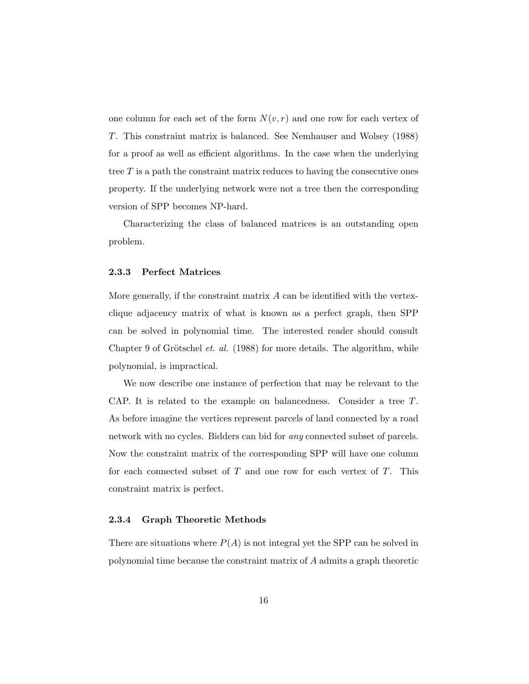<span id="page-15-0"></span>one column for each set of the form  $N(v, r)$  and one row for each vertex of T. This constraint matrix is balanced. See Nemhauser and Wolsey (1988) for a proof as well as efficient algorithms. In the case when the underlying tree  $T$  is a path the constraint matrix reduces to having the consecutive ones property. If the underlying network were not a tree then the corresponding version of SPP becomes NP-hard.

Characterizing the class of balanced matrices is an outstanding open problem.

#### 2.3.3 Perfect Matrices

More generally, if the constraint matrix  $A$  can be identified with the vertexclique adjacency matrix of what is known as a perfect graph, then SPP can be solved in polynomial time. The interested reader should consult Chapter 9 of Grötschel *et. al.* (1988) for more details. The algorithm, while polynomial, is impractical.

We now describe one instance of perfection that may be relevant to the CAP. It is related to the example on balancedness. Consider a tree T. As before imagine the vertices represent parcels of land connected by a road network with no cycles. Bidders can bid for any connected subset of parcels. Now the constraint matrix of the corresponding SPP will have one column for each connected subset of  $T$  and one row for each vertex of  $T$ . This constraint matrix is perfect.

#### 2.3.4 Graph Theoretic Methods

There are situations where  $P(A)$  is not integral yet the SPP can be solved in polynomial time because the constraint matrix of A admits a graph theoretic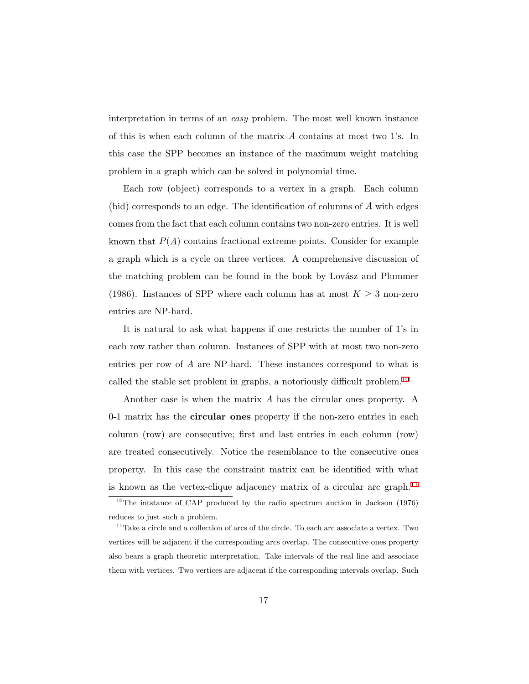interpretation in terms of an easy problem. The most well known instance of this is when each column of the matrix A contains at most two 1's. In this case the SPP becomes an instance of the maximum weight matching problem in a graph which can be solved in polynomial time.

Each row (object) corresponds to a vertex in a graph. Each column (bid) corresponds to an edge. The identification of columns of A with edges comes from the fact that each column contains two non-zero entries. It is well known that  $P(A)$  contains fractional extreme points. Consider for example a graph which is a cycle on three vertices. A comprehensive discussion of the matching problem can be found in the book by Lovász and Plummer (1986). Instances of SPP where each column has at most  $K \geq 3$  non-zero entries are NP-hard.

It is natural to ask what happens if one restricts the number of 1's in each row rather than column. Instances of SPP with at most two non-zero entries per row of A are NP-hard. These instances correspond to what is called the stable set problem in graphs, a notoriously difficult problem.<sup>10</sup>

Another case is when the matrix A has the circular ones property. A 0-1 matrix has the circular ones property if the non-zero entries in each column (row) are consecutive; first and last entries in each column (row) are treated consecutively. Notice the resemblance to the consecutive ones property. In this case the constraint matrix can be identified with what is known as the vertex-clique adjacency matrix of a circular arc graph.<sup>11</sup>

<sup>10</sup>The intstance of CAP produced by the radio spectrum auction in Jackson (1976) reduces to just such a problem.

 $11$ Take a circle and a collection of arcs of the circle. To each arc associate a vertex. Two vertices will be adjacent if the corresponding arcs overlap. The consecutive ones property also bears a graph theoretic interpretation. Take intervals of the real line and associate them with vertices. Two vertices are adjacent if the corresponding intervals overlap. Such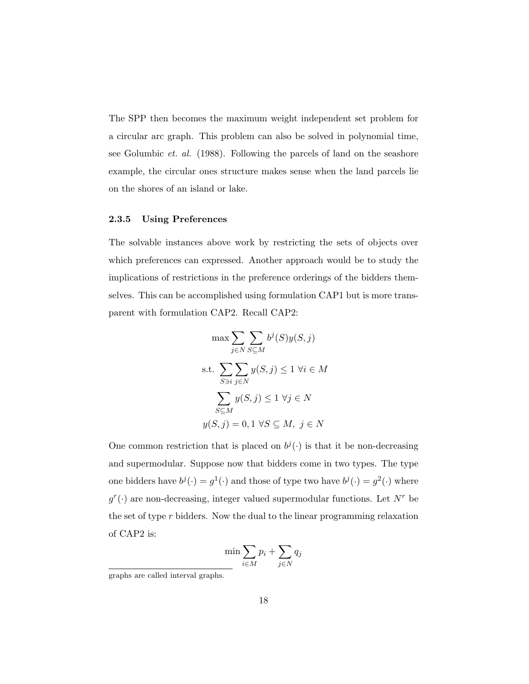<span id="page-17-0"></span>The SPP then becomes the maximum weight independent set problem for a circular arc graph. This problem can also be solved in polynomial time, see Golumbic et. al. (1988). Following the parcels of land on the seashore example, the circular ones structure makes sense when the land parcels lie on the shores of an island or lake.

### 2.3.5 Using Preferences

The solvable instances above work by restricting the sets of objects over which preferences can expressed. Another approach would be to study the implications of restrictions in the preference orderings of the bidders themselves. This can be accomplished using formulation CAP1 but is more transparent with formulation CAP2. Recall CAP2:

$$
\max \sum_{j \in N} \sum_{S \subseteq M} b^{j}(S)y(S, j)
$$
  
s.t. 
$$
\sum_{S \ni j \in N} \sum_{j \in N} y(S, j) \le 1 \ \forall i \in M
$$

$$
\sum_{S \subseteq M} y(S, j) \le 1 \ \forall j \in N
$$

$$
y(S, j) = 0, 1 \ \forall S \subseteq M, \ j \in N
$$

One common restriction that is placed on  $b^{j}(\cdot)$  is that it be non-decreasing and supermodular. Suppose now that bidders come in two types. The type one bidders have  $b^j(\cdot) = g^1(\cdot)$  and those of type two have  $b^j(\cdot) = g^2(\cdot)$  where  $g^r(\cdot)$  are non-decreasing, integer valued supermodular functions. Let  $N^r$  be the set of type  $r$  bidders. Now the dual to the linear programming relaxation of CAP2 is:

$$
\min \sum_{i \in M} p_i + \sum_{j \in N} q_j
$$

graphs are called interval graphs.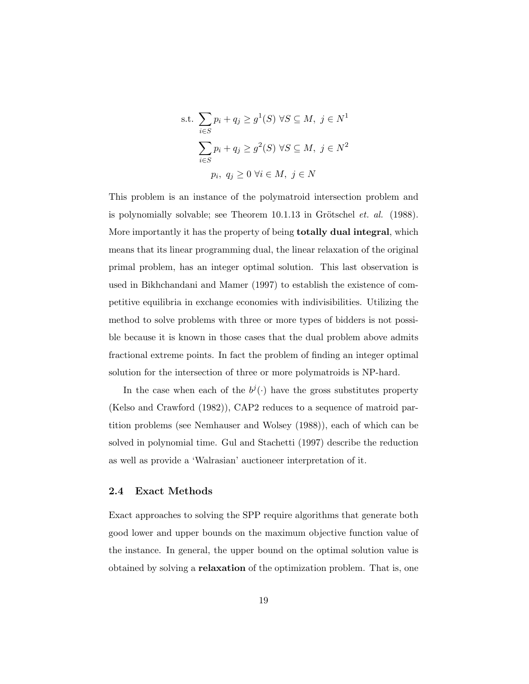<span id="page-18-0"></span>s.t. 
$$
\sum_{i \in S} p_i + q_j \ge g^1(S) \forall S \subseteq M, j \in N^1
$$

$$
\sum_{i \in S} p_i + q_j \ge g^2(S) \forall S \subseteq M, j \in N^2
$$

$$
p_i, q_j \ge 0 \forall i \in M, j \in N
$$

This problem is an instance of the polymatroid intersection problem and is polynomially solvable; see Theorem  $10.1.13$  in Grötschel *et. al.* (1988). More importantly it has the property of being totally dual integral, which means that its linear programming dual, the linear relaxation of the original primal problem, has an integer optimal solution. This last observation is used in Bikhchandani and Mamer (1997) to establish the existence of competitive equilibria in exchange economies with indivisibilities. Utilizing the method to solve problems with three or more types of bidders is not possible because it is known in those cases that the dual problem above admits fractional extreme points. In fact the problem of finding an integer optimal solution for the intersection of three or more polymatroids is NP-hard.

In the case when each of the  $b^{j}(\cdot)$  have the gross substitutes property (Kelso and Crawford (1982)), CAP2 reduces to a sequence of matroid partition problems (see Nemhauser and Wolsey (1988)), each of which can be solved in polynomial time. Gul and Stachetti (1997) describe the reduction as well as provide a 'Walrasian' auctioneer interpretation of it.

#### 2.4 Exact Methods

Exact approaches to solving the SPP require algorithms that generate both good lower and upper bounds on the maximum objective function value of the instance. In general, the upper bound on the optimal solution value is obtained by solving a relaxation of the optimization problem. That is, one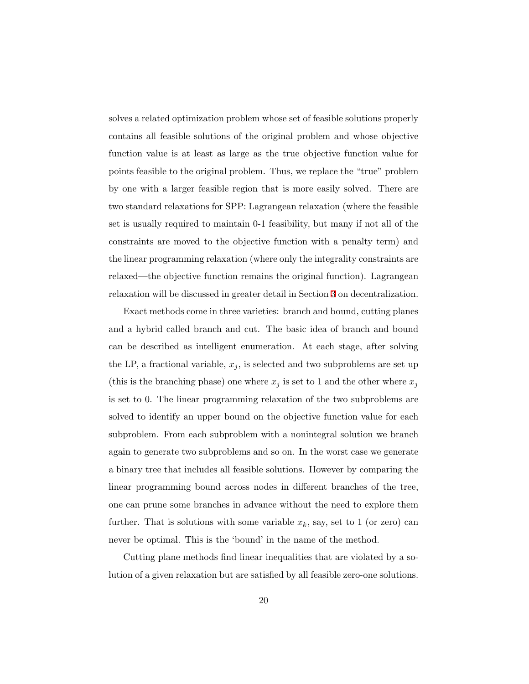solves a related optimization problem whose set of feasible solutions properly contains all feasible solutions of the original problem and whose objective function value is at least as large as the true objective function value for points feasible to the original problem. Thus, we replace the "true" problem by one with a larger feasible region that is more easily solved. There are two standard relaxations for SPP: Lagrangean relaxation (where the feasible set is usually required to maintain 0-1 feasibility, but many if not all of the constraints are moved to the objective function with a penalty term) and the linear programming relaxation (where only the integrality constraints are relaxed—the objective function remains the original function). Lagrangean relaxation will be discussed in greater detail in Section [3](#page-26-0) on decentralization.

Exact methods come in three varieties: branch and bound, cutting planes and a hybrid called branch and cut. The basic idea of branch and bound can be described as intelligent enumeration. At each stage, after solving the LP, a fractional variable,  $x_j$ , is selected and two subproblems are set up (this is the branching phase) one where  $x_j$  is set to 1 and the other where  $x_j$ is set to 0. The linear programming relaxation of the two subproblems are solved to identify an upper bound on the objective function value for each subproblem. From each subproblem with a nonintegral solution we branch again to generate two subproblems and so on. In the worst case we generate a binary tree that includes all feasible solutions. However by comparing the linear programming bound across nodes in different branches of the tree, one can prune some branches in advance without the need to explore them further. That is solutions with some variable  $x_k$ , say, set to 1 (or zero) can never be optimal. This is the 'bound' in the name of the method.

Cutting plane methods find linear inequalities that are violated by a solution of a given relaxation but are satisfied by all feasible zero-one solutions.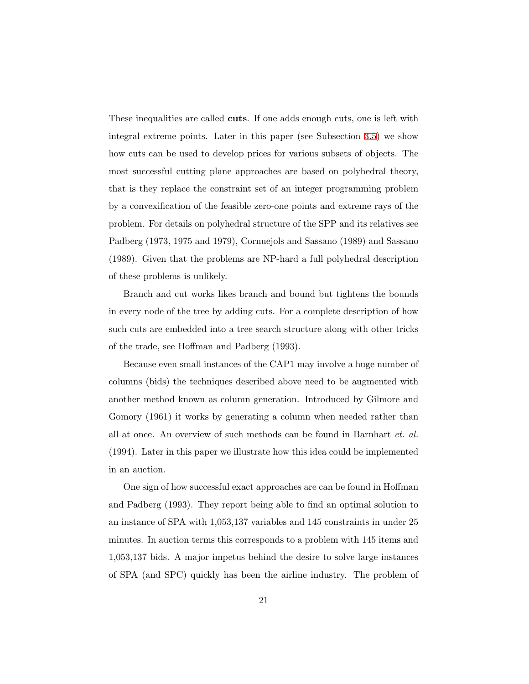These inequalities are called **cuts**. If one adds enough cuts, one is left with integral extreme points. Later in this paper (see Subsection [3.5\)](#page-37-0) we show how cuts can be used to develop prices for various subsets of objects. The most successful cutting plane approaches are based on polyhedral theory, that is they replace the constraint set of an integer programming problem by a convexification of the feasible zero-one points and extreme rays of the problem. For details on polyhedral structure of the SPP and its relatives see Padberg (1973, 1975 and 1979), Cornuejols and Sassano (1989) and Sassano (1989). Given that the problems are NP-hard a full polyhedral description of these problems is unlikely.

Branch and cut works likes branch and bound but tightens the bounds in every node of the tree by adding cuts. For a complete description of how such cuts are embedded into a tree search structure along with other tricks of the trade, see Hoffman and Padberg (1993).

Because even small instances of the CAP1 may involve a huge number of columns (bids) the techniques described above need to be augmented with another method known as column generation. Introduced by Gilmore and Gomory (1961) it works by generating a column when needed rather than all at once. An overview of such methods can be found in Barnhart et. al. (1994). Later in this paper we illustrate how this idea could be implemented in an auction.

One sign of how successful exact approaches are can be found in Hoffman and Padberg (1993). They report being able to find an optimal solution to an instance of SPA with 1,053,137 variables and 145 constraints in under 25 minutes. In auction terms this corresponds to a problem with 145 items and 1,053,137 bids. A major impetus behind the desire to solve large instances of SPA (and SPC) quickly has been the airline industry. The problem of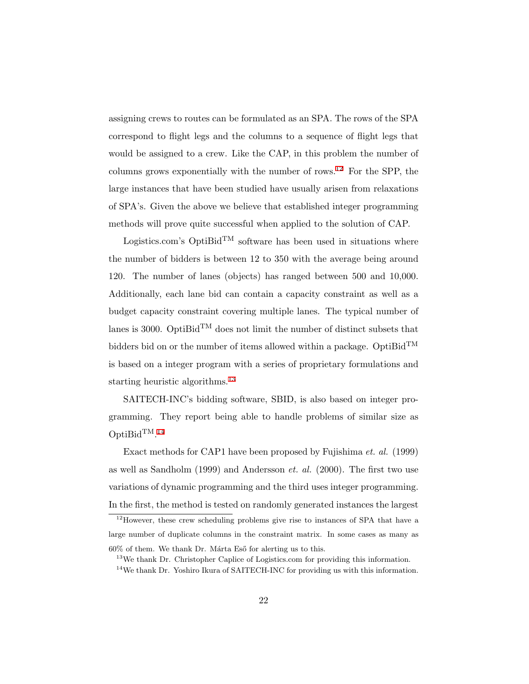assigning crews to routes can be formulated as an SPA. The rows of the SPA correspond to flight legs and the columns to a sequence of flight legs that would be assigned to a crew. Like the CAP, in this problem the number of columns grows exponentially with the number of rows.<sup>12</sup> For the SPP, the large instances that have been studied have usually arisen from relaxations of SPA's. Given the above we believe that established integer programming methods will prove quite successful when applied to the solution of CAP.

Logistics.com's OptiBid<sup>TM</sup> software has been used in situations where the number of bidders is between 12 to 350 with the average being around 120. The number of lanes (objects) has ranged between 500 and 10,000. Additionally, each lane bid can contain a capacity constraint as well as a budget capacity constraint covering multiple lanes. The typical number of lanes is 3000. OptiBid $T^M$  does not limit the number of distinct subsets that bidders bid on or the number of items allowed within a package. OptiBid  $\rm ^{TM}$ is based on a integer program with a series of proprietary formulations and starting heuristic algorithms.<sup>13</sup>

SAITECH-INC's bidding software, SBID, is also based on integer programming. They report being able to handle problems of similar size as  $\mathrm{OptiBid}^\mathrm{TM},$ <sup>14</sup>

Exact methods for CAP1 have been proposed by Fujishima et. al. (1999) as well as Sandholm (1999) and Andersson et. al. (2000). The first two use variations of dynamic programming and the third uses integer programming. In the first, the method is tested on randomly generated instances the largest

 $12$ However, these crew scheduling problems give rise to instances of SPA that have a large number of duplicate columns in the constraint matrix. In some cases as many as  $60\%$  of them. We thank Dr. Márta Eső for alerting us to this.

<sup>&</sup>lt;sup>13</sup>We thank Dr. Christopher Caplice of Logistics.com for providing this information.

 $14$ We thank Dr. Yoshiro Ikura of SAITECH-INC for providing us with this information.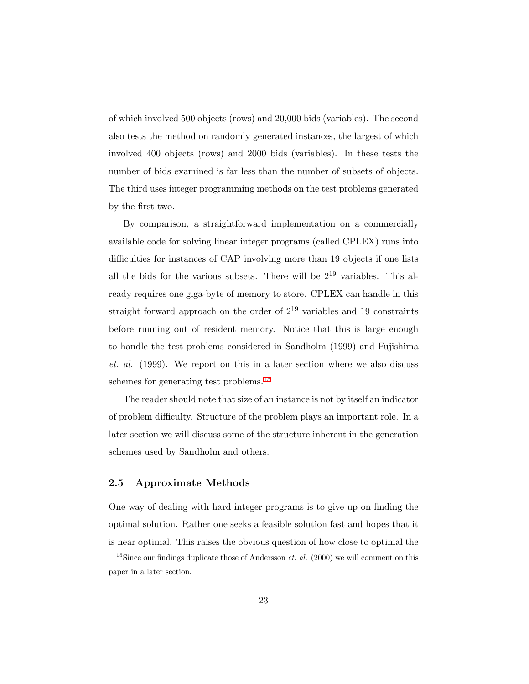<span id="page-22-0"></span>of which involved 500 objects (rows) and 20,000 bids (variables). The second also tests the method on randomly generated instances, the largest of which involved 400 objects (rows) and 2000 bids (variables). In these tests the number of bids examined is far less than the number of subsets of objects. The third uses integer programming methods on the test problems generated by the first two.

By comparison, a straightforward implementation on a commercially available code for solving linear integer programs (called CPLEX) runs into difficulties for instances of CAP involving more than 19 objects if one lists all the bids for the various subsets. There will be  $2^{19}$  variables. This already requires one giga-byte of memory to store. CPLEX can handle in this straight forward approach on the order of  $2^{19}$  variables and 19 constraints before running out of resident memory. Notice that this is large enough to handle the test problems considered in Sandholm (1999) and Fujishima et. al. (1999). We report on this in a later section where we also discuss schemes for generating test problems.<sup>15</sup>

The reader should note that size of an instance is not by itself an indicator of problem difficulty. Structure of the problem plays an important role. In a later section we will discuss some of the structure inherent in the generation schemes used by Sandholm and others.

## 2.5 Approximate Methods

One way of dealing with hard integer programs is to give up on finding the optimal solution. Rather one seeks a feasible solution fast and hopes that it is near optimal. This raises the obvious question of how close to optimal the

<sup>&</sup>lt;sup>15</sup>Since our findings duplicate those of Andersson *et. al.* (2000) we will comment on this paper in a later section.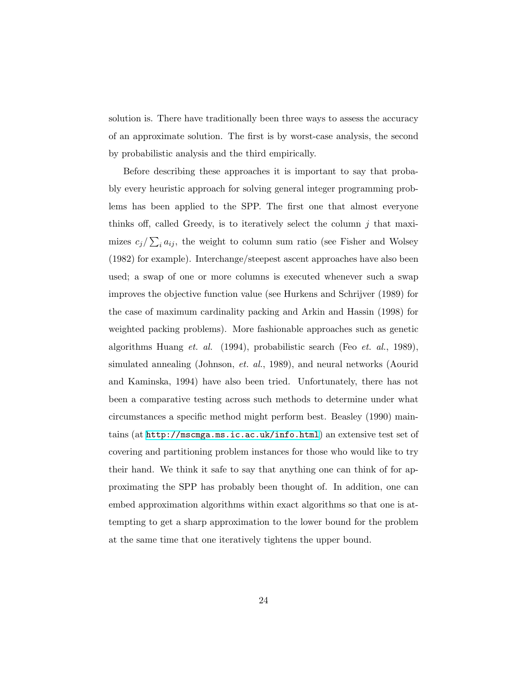solution is. There have traditionally been three ways to assess the accuracy of an approximate solution. The first is by worst-case analysis, the second by probabilistic analysis and the third empirically.

Before describing these approaches it is important to say that probably every heuristic approach for solving general integer programming problems has been applied to the SPP. The first one that almost everyone thinks off, called Greedy, is to iteratively select the column  $j$  that maximizes  $c_j/\sum_i a_{ij}$ , the weight to column sum ratio (see Fisher and Wolsey (1982) for example). Interchange/steepest ascent approaches have also been used; a swap of one or more columns is executed whenever such a swap improves the objective function value (see Hurkens and Schrijver (1989) for the case of maximum cardinality packing and Arkin and Hassin (1998) for weighted packing problems). More fashionable approaches such as genetic algorithms Huang et. al. (1994), probabilistic search (Feo et. al., 1989), simulated annealing (Johnson, et. al., 1989), and neural networks (Aourid and Kaminska, 1994) have also been tried. Unfortunately, there has not been a comparative testing across such methods to determine under what circumstances a specific method might perform best. Beasley (1990) maintains (at <http://mscmga.ms.ic.ac.uk/info.html>) an extensive test set of covering and partitioning problem instances for those who would like to try their hand. We think it safe to say that anything one can think of for approximating the SPP has probably been thought of. In addition, one can embed approximation algorithms within exact algorithms so that one is attempting to get a sharp approximation to the lower bound for the problem at the same time that one iteratively tightens the upper bound.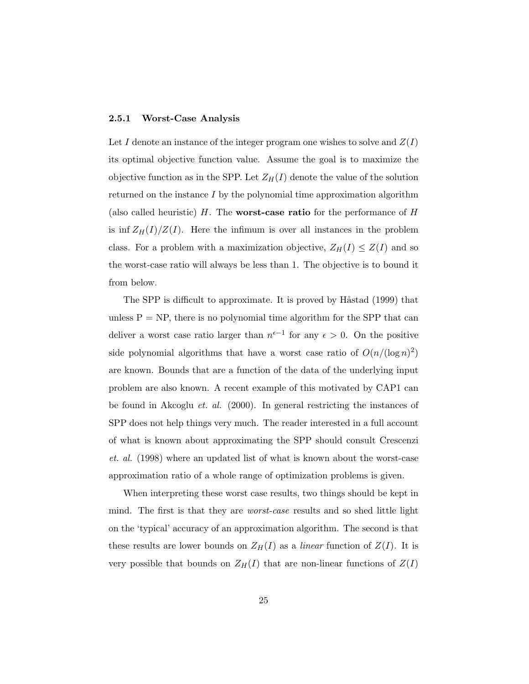#### <span id="page-24-0"></span>2.5.1 Worst-Case Analysis

Let I denote an instance of the integer program one wishes to solve and  $Z(I)$ its optimal objective function value. Assume the goal is to maximize the objective function as in the SPP. Let  $Z_H(I)$  denote the value of the solution returned on the instance I by the polynomial time approximation algorithm (also called heuristic)  $H$ . The **worst-case ratio** for the performance of  $H$ is inf  $Z_H(I)/Z(I)$ . Here the infimum is over all instances in the problem class. For a problem with a maximization objective,  $Z_H(I) \leq Z(I)$  and so the worst-case ratio will always be less than 1. The objective is to bound it from below.

The SPP is difficult to approximate. It is proved by Håstad (1999) that unless  $P = NP$ , there is no polynomial time algorithm for the SPP that can deliver a worst case ratio larger than  $n^{\epsilon-1}$  for any  $\epsilon > 0$ . On the positive side polynomial algorithms that have a worst case ratio of  $O(n/(\log n)^2)$ are known. Bounds that are a function of the data of the underlying input problem are also known. A recent example of this motivated by CAP1 can be found in Akcoglu et. al. (2000). In general restricting the instances of SPP does not help things very much. The reader interested in a full account of what is known about approximating the SPP should consult Crescenzi et. al. (1998) where an updated list of what is known about the worst-case approximation ratio of a whole range of optimization problems is given.

When interpreting these worst case results, two things should be kept in mind. The first is that they are *worst-case* results and so shed little light on the 'typical' accuracy of an approximation algorithm. The second is that these results are lower bounds on  $Z_H(I)$  as a *linear* function of  $Z(I)$ . It is very possible that bounds on  $Z_H(I)$  that are non-linear functions of  $Z(I)$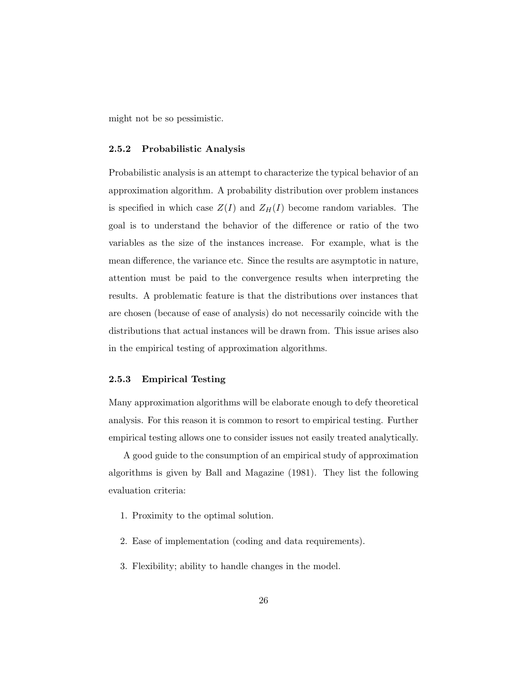<span id="page-25-0"></span>might not be so pessimistic.

#### 2.5.2 Probabilistic Analysis

Probabilistic analysis is an attempt to characterize the typical behavior of an approximation algorithm. A probability distribution over problem instances is specified in which case  $Z(I)$  and  $Z_H(I)$  become random variables. The goal is to understand the behavior of the difference or ratio of the two variables as the size of the instances increase. For example, what is the mean difference, the variance etc. Since the results are asymptotic in nature, attention must be paid to the convergence results when interpreting the results. A problematic feature is that the distributions over instances that are chosen (because of ease of analysis) do not necessarily coincide with the distributions that actual instances will be drawn from. This issue arises also in the empirical testing of approximation algorithms.

## 2.5.3 Empirical Testing

Many approximation algorithms will be elaborate enough to defy theoretical analysis. For this reason it is common to resort to empirical testing. Further empirical testing allows one to consider issues not easily treated analytically.

A good guide to the consumption of an empirical study of approximation algorithms is given by Ball and Magazine (1981). They list the following evaluation criteria:

- 1. Proximity to the optimal solution.
- 2. Ease of implementation (coding and data requirements).
- 3. Flexibility; ability to handle changes in the model.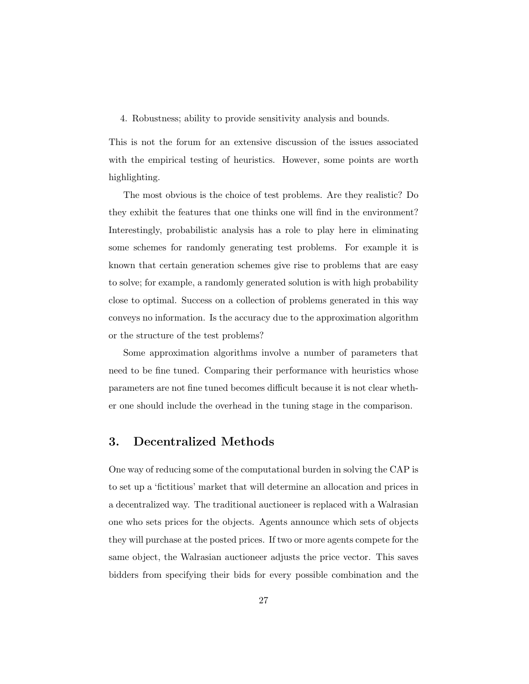<span id="page-26-0"></span>4. Robustness; ability to provide sensitivity analysis and bounds.

This is not the forum for an extensive discussion of the issues associated with the empirical testing of heuristics. However, some points are worth highlighting.

The most obvious is the choice of test problems. Are they realistic? Do they exhibit the features that one thinks one will find in the environment? Interestingly, probabilistic analysis has a role to play here in eliminating some schemes for randomly generating test problems. For example it is known that certain generation schemes give rise to problems that are easy to solve; for example, a randomly generated solution is with high probability close to optimal. Success on a collection of problems generated in this way conveys no information. Is the accuracy due to the approximation algorithm or the structure of the test problems?

Some approximation algorithms involve a number of parameters that need to be fine tuned. Comparing their performance with heuristics whose parameters are not fine tuned becomes difficult because it is not clear whether one should include the overhead in the tuning stage in the comparison.

## 3. Decentralized Methods

One way of reducing some of the computational burden in solving the CAP is to set up a 'fictitious' market that will determine an allocation and prices in a decentralized way. The traditional auctioneer is replaced with a Walrasian one who sets prices for the objects. Agents announce which sets of objects they will purchase at the posted prices. If two or more agents compete for the same object, the Walrasian auctioneer adjusts the price vector. This saves bidders from specifying their bids for every possible combination and the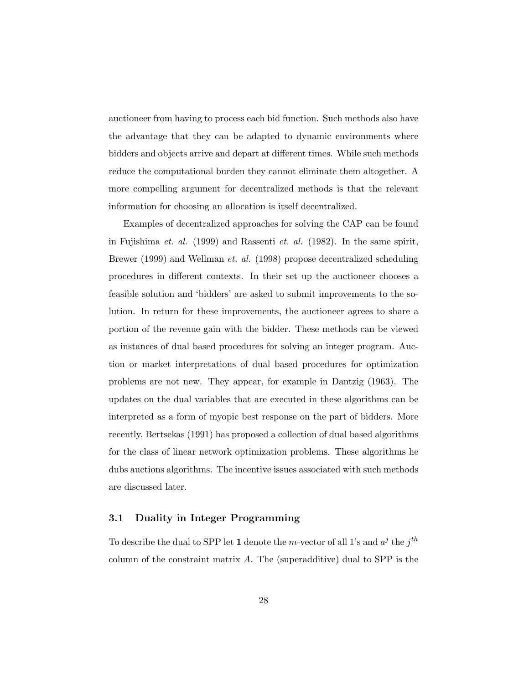<span id="page-27-0"></span>auctioneer from having to process each bid function. Such methods also have the advantage that they can be adapted to dynamic environments where bidders and objects arrive and depart at different times. While such methods reduce the computational burden they cannot eliminate them altogether. A more compelling argument for decentralized methods is that the relevant information for choosing an allocation is itself decentralized.

Examples of decentralized approaches for solving the CAP can be found in Fujishima et. al. (1999) and Rassenti et. al. (1982). In the same spirit, Brewer (1999) and Wellman et. al. (1998) propose decentralized scheduling procedures in different contexts. In their set up the auctioneer chooses a feasible solution and 'bidders' are asked to submit improvements to the solution. In return for these improvements, the auctioneer agrees to share a portion of the revenue gain with the bidder. These methods can be viewed as instances of dual based procedures for solving an integer program. Auction or market interpretations of dual based procedures for optimization problems are not new. They appear, for example in Dantzig (1963). The updates on the dual variables that are executed in these algorithms can be interpreted as a form of myopic best response on the part of bidders. More recently, Bertsekas (1991) has proposed a collection of dual based algorithms for the class of linear network optimization problems. These algorithms he dubs auctions algorithms. The incentive issues associated with such methods are discussed later.

## 3.1 Duality in Integer Programming

To describe the dual to SPP let 1 denote the *m*-vector of all 1's and  $a^j$  the  $j^{th}$ column of the constraint matrix  $A$ . The (superadditive) dual to SPP is the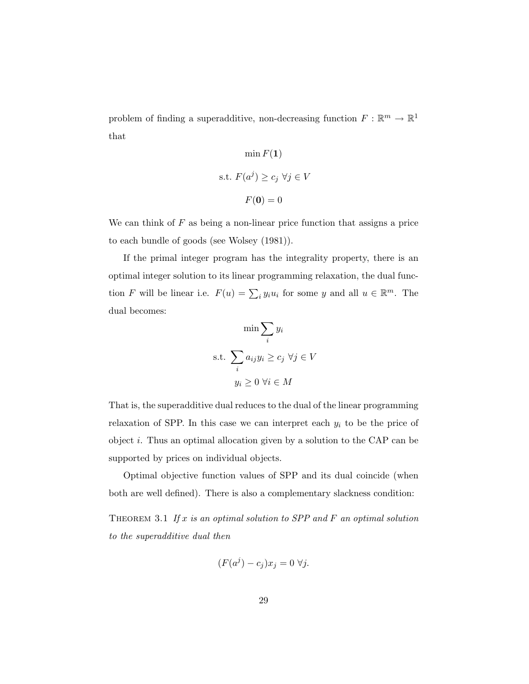problem of finding a superadditive, non-decreasing function  $F: \mathbb{R}^m \to \mathbb{R}^1$ that

$$
\min F(\mathbf{1})
$$
  
s.t.  $F(a^j) \ge c_j \ \forall j \in V$   

$$
F(\mathbf{0}) = 0
$$

We can think of  $F$  as being a non-linear price function that assigns a price to each bundle of goods (see Wolsey (1981)).

If the primal integer program has the integrality property, there is an optimal integer solution to its linear programming relaxation, the dual function F will be linear i.e.  $F(u) = \sum_i y_i u_i$  for some y and all  $u \in \mathbb{R}^m$ . The dual becomes:

$$
\min \sum_{i} y_i
$$
  
s.t. 
$$
\sum_{i} a_{ij} y_i \ge c_j \,\,\forall j \in V
$$
  

$$
y_i \ge 0 \,\,\forall i \in M
$$

That is, the superadditive dual reduces to the dual of the linear programming relaxation of SPP. In this case we can interpret each  $y_i$  to be the price of object  $i$ . Thus an optimal allocation given by a solution to the CAP can be supported by prices on individual objects.

Optimal objective function values of SPP and its dual coincide (when both are well defined). There is also a complementary slackness condition:

THEOREM 3.1 If  $x$  is an optimal solution to SPP and  $F$  an optimal solution to the superadditive dual then

$$
(F(a^j) - c_j)x_j = 0 \ \forall j.
$$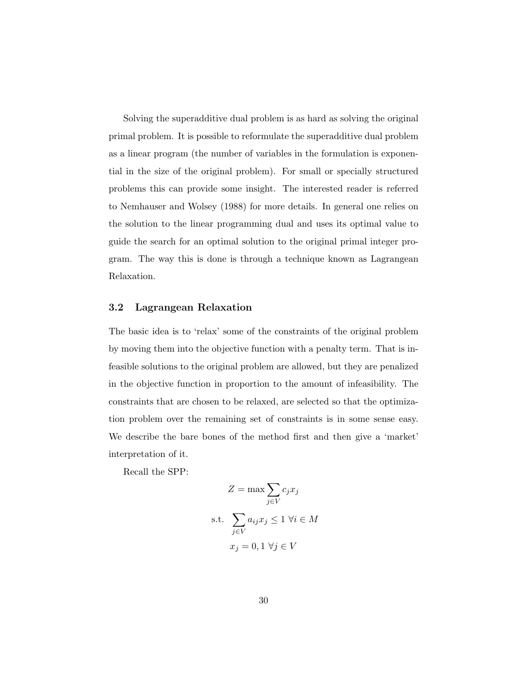<span id="page-29-0"></span>Solving the superadditive dual problem is as hard as solving the original primal problem. It is possible to reformulate the superadditive dual problem as a linear program (the number of variables in the formulation is exponential in the size of the original problem). For small or specially structured problems this can provide some insight. The interested reader is referred to Nemhauser and Wolsey (1988) for more details. In general one relies on the solution to the linear programming dual and uses its optimal value to guide the search for an optimal solution to the original primal integer program. The way this is done is through a technique known as Lagrangean Relaxation.

### 3.2 Lagrangean Relaxation

The basic idea is to 'relax' some of the constraints of the original problem by moving them into the objective function with a penalty term. That is infeasible solutions to the original problem are allowed, but they are penalized in the objective function in proportion to the amount of infeasibility. The constraints that are chosen to be relaxed, are selected so that the optimization problem over the remaining set of constraints is in some sense easy. We describe the bare bones of the method first and then give a 'market' interpretation of it.

Recall the SPP:

$$
Z = \max \sum_{j \in V} c_j x_j
$$
  
s.t. 
$$
\sum_{j \in V} a_{ij} x_j \le 1 \ \forall i \in M
$$

$$
x_j = 0, 1 \ \forall j \in V
$$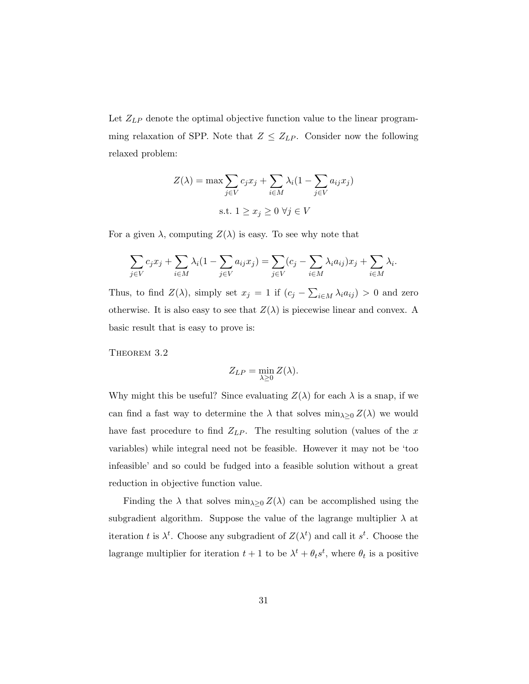Let  $Z_{LP}$  denote the optimal objective function value to the linear programming relaxation of SPP. Note that  $Z \leq Z_{LP}$ . Consider now the following relaxed problem:

$$
Z(\lambda) = \max \sum_{j \in V} c_j x_j + \sum_{i \in M} \lambda_i (1 - \sum_{j \in V} a_{ij} x_j)
$$
  
s.t.  $1 \ge x_j \ge 0 \ \forall j \in V$ 

For a given  $\lambda$ , computing  $Z(\lambda)$  is easy. To see why note that

$$
\sum_{j \in V} c_j x_j + \sum_{i \in M} \lambda_i (1 - \sum_{j \in V} a_{ij} x_j) = \sum_{j \in V} (c_j - \sum_{i \in M} \lambda_i a_{ij}) x_j + \sum_{i \in M} \lambda_i.
$$

Thus, to find  $Z(\lambda)$ , simply set  $x_j = 1$  if  $(c_j - \sum_{i \in M} \lambda_i a_{ij}) > 0$  and zero otherwise. It is also easy to see that  $Z(\lambda)$  is piecewise linear and convex. A basic result that is easy to prove is:

THEOREM 3.2

$$
Z_{LP} = \min_{\lambda \ge 0} Z(\lambda).
$$

Why might this be useful? Since evaluating  $Z(\lambda)$  for each  $\lambda$  is a snap, if we can find a fast way to determine the  $\lambda$  that solves min<sub> $\lambda \geq 0$ </sub>  $Z(\lambda)$  we would have fast procedure to find  $Z_{LP}$ . The resulting solution (values of the x variables) while integral need not be feasible. However it may not be 'too infeasible' and so could be fudged into a feasible solution without a great reduction in objective function value.

Finding the  $\lambda$  that solves min<sub> $\lambda \geq 0$ </sub>  $Z(\lambda)$  can be accomplished using the subgradient algorithm. Suppose the value of the lagrange multiplier  $\lambda$  at iteration t is  $\lambda^t$ . Choose any subgradient of  $Z(\lambda^t)$  and call it  $s^t$ . Choose the lagrange multiplier for iteration  $t + 1$  to be  $\lambda^t + \theta_t s^t$ , where  $\theta_t$  is a positive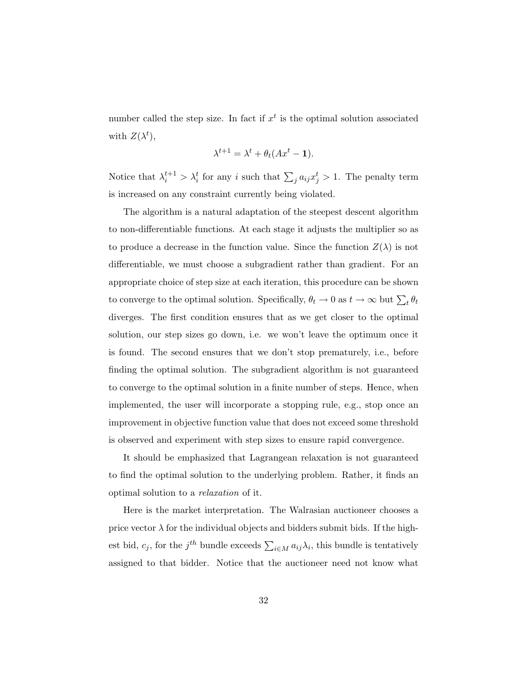number called the step size. In fact if  $x<sup>t</sup>$  is the optimal solution associated with  $Z(\lambda^t)$ ,

$$
\lambda^{t+1} = \lambda^t + \theta_t (Ax^t - \mathbf{1}).
$$

Notice that  $\lambda_i^{t+1} > \lambda_i^t$  for any i such that  $\sum_j a_{ij} x_j^t > 1$ . The penalty term is increased on any constraint currently being violated.

The algorithm is a natural adaptation of the steepest descent algorithm to non-differentiable functions. At each stage it adjusts the multiplier so as to produce a decrease in the function value. Since the function  $Z(\lambda)$  is not differentiable, we must choose a subgradient rather than gradient. For an appropriate choice of step size at each iteration, this procedure can be shown to converge to the optimal solution. Specifically,  $\theta_t \to 0$  as  $t \to \infty$  but  $\sum_t \theta_t$ diverges. The first condition ensures that as we get closer to the optimal solution, our step sizes go down, i.e. we won't leave the optimum once it is found. The second ensures that we don't stop prematurely, i.e., before finding the optimal solution. The subgradient algorithm is not guaranteed to converge to the optimal solution in a finite number of steps. Hence, when implemented, the user will incorporate a stopping rule, e.g., stop once an improvement in objective function value that does not exceed some threshold is observed and experiment with step sizes to ensure rapid convergence.

It should be emphasized that Lagrangean relaxation is not guaranteed to find the optimal solution to the underlying problem. Rather, it finds an optimal solution to a relaxation of it.

Here is the market interpretation. The Walrasian auctioneer chooses a price vector  $\lambda$  for the individual objects and bidders submit bids. If the highest bid,  $c_j$ , for the  $j^{th}$  bundle exceeds  $\sum_{i \in M} a_{ij} \lambda_i$ , this bundle is tentatively assigned to that bidder. Notice that the auctioneer need not know what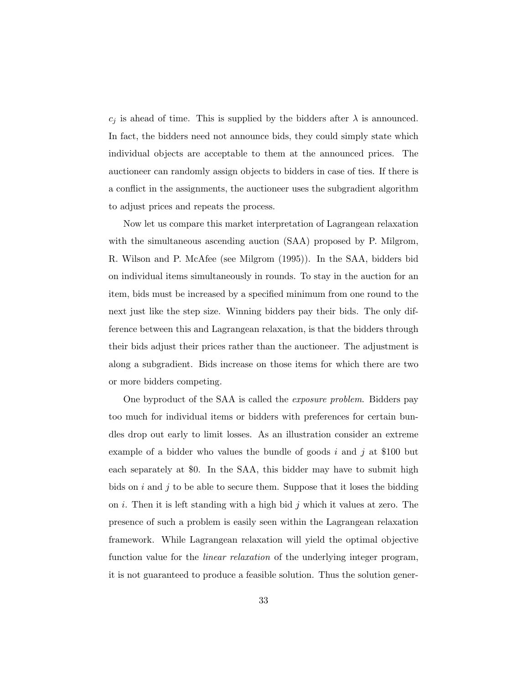$c_j$  is ahead of time. This is supplied by the bidders after  $\lambda$  is announced. In fact, the bidders need not announce bids, they could simply state which individual objects are acceptable to them at the announced prices. The auctioneer can randomly assign objects to bidders in case of ties. If there is a conflict in the assignments, the auctioneer uses the subgradient algorithm to adjust prices and repeats the process.

Now let us compare this market interpretation of Lagrangean relaxation with the simultaneous ascending auction (SAA) proposed by P. Milgrom, R. Wilson and P. McAfee (see Milgrom (1995)). In the SAA, bidders bid on individual items simultaneously in rounds. To stay in the auction for an item, bids must be increased by a specified minimum from one round to the next just like the step size. Winning bidders pay their bids. The only difference between this and Lagrangean relaxation, is that the bidders through their bids adjust their prices rather than the auctioneer. The adjustment is along a subgradient. Bids increase on those items for which there are two or more bidders competing.

One byproduct of the SAA is called the exposure problem. Bidders pay too much for individual items or bidders with preferences for certain bundles drop out early to limit losses. As an illustration consider an extreme example of a bidder who values the bundle of goods i and j at \$100 but each separately at \$0. In the SAA, this bidder may have to submit high bids on i and j to be able to secure them. Suppose that it loses the bidding on  $i$ . Then it is left standing with a high bid  $j$  which it values at zero. The presence of such a problem is easily seen within the Lagrangean relaxation framework. While Lagrangean relaxation will yield the optimal objective function value for the *linear relaxation* of the underlying integer program, it is not guaranteed to produce a feasible solution. Thus the solution gener-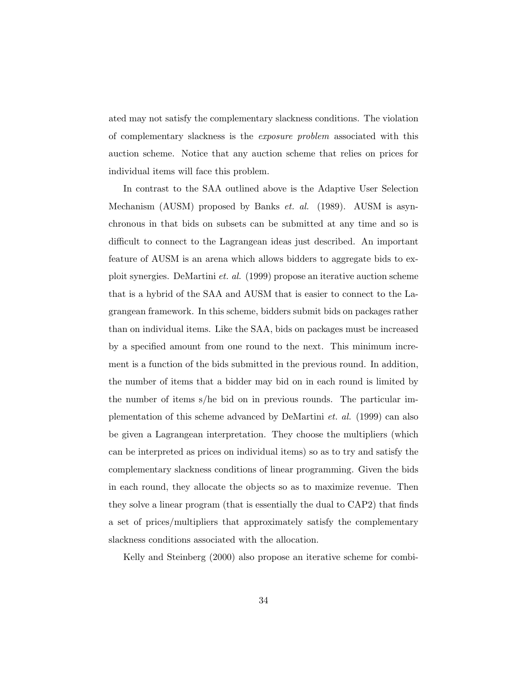ated may not satisfy the complementary slackness conditions. The violation of complementary slackness is the exposure problem associated with this auction scheme. Notice that any auction scheme that relies on prices for individual items will face this problem.

In contrast to the SAA outlined above is the Adaptive User Selection Mechanism (AUSM) proposed by Banks et. al. (1989). AUSM is asynchronous in that bids on subsets can be submitted at any time and so is difficult to connect to the Lagrangean ideas just described. An important feature of AUSM is an arena which allows bidders to aggregate bids to exploit synergies. DeMartini et. al. (1999) propose an iterative auction scheme that is a hybrid of the SAA and AUSM that is easier to connect to the Lagrangean framework. In this scheme, bidders submit bids on packages rather than on individual items. Like the SAA, bids on packages must be increased by a specified amount from one round to the next. This minimum increment is a function of the bids submitted in the previous round. In addition, the number of items that a bidder may bid on in each round is limited by the number of items s/he bid on in previous rounds. The particular implementation of this scheme advanced by DeMartini et. al. (1999) can also be given a Lagrangean interpretation. They choose the multipliers (which can be interpreted as prices on individual items) so as to try and satisfy the complementary slackness conditions of linear programming. Given the bids in each round, they allocate the objects so as to maximize revenue. Then they solve a linear program (that is essentially the dual to CAP2) that finds a set of prices/multipliers that approximately satisfy the complementary slackness conditions associated with the allocation.

Kelly and Steinberg (2000) also propose an iterative scheme for combi-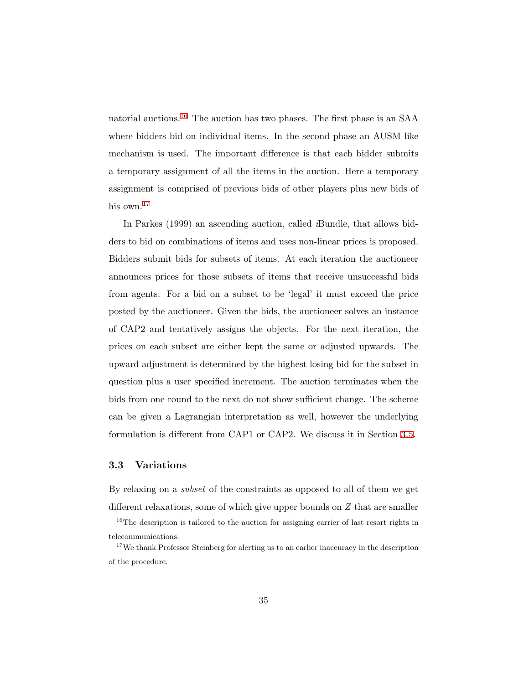<span id="page-34-0"></span>natorial auctions.<sup>16</sup> The auction has two phases. The first phase is an SAA where bidders bid on individual items. In the second phase an AUSM like mechanism is used. The important difference is that each bidder submits a temporary assignment of all the items in the auction. Here a temporary assignment is comprised of previous bids of other players plus new bids of his own.<sup>17</sup>

In Parkes (1999) an ascending auction, called *iBundle*, that allows bidders to bid on combinations of items and uses non-linear prices is proposed. Bidders submit bids for subsets of items. At each iteration the auctioneer announces prices for those subsets of items that receive unsuccessful bids from agents. For a bid on a subset to be 'legal' it must exceed the price posted by the auctioneer. Given the bids, the auctioneer solves an instance of CAP2 and tentatively assigns the objects. For the next iteration, the prices on each subset are either kept the same or adjusted upwards. The upward adjustment is determined by the highest losing bid for the subset in question plus a user specified increment. The auction terminates when the bids from one round to the next do not show sufficient change. The scheme can be given a Lagrangian interpretation as well, however the underlying formulation is different from CAP1 or CAP2. We discuss it in Section [3.5](#page-37-0).

## 3.3 Variations

By relaxing on a subset of the constraints as opposed to all of them we get different relaxations, some of which give upper bounds on Z that are smaller

 $16$ The description is tailored to the auction for assigning carrier of last resort rights in telecommunications.

 $^{17}\mathrm{We}$  thank Professor Steinberg for alerting us to an earlier inaccuracy in the description of the procedure.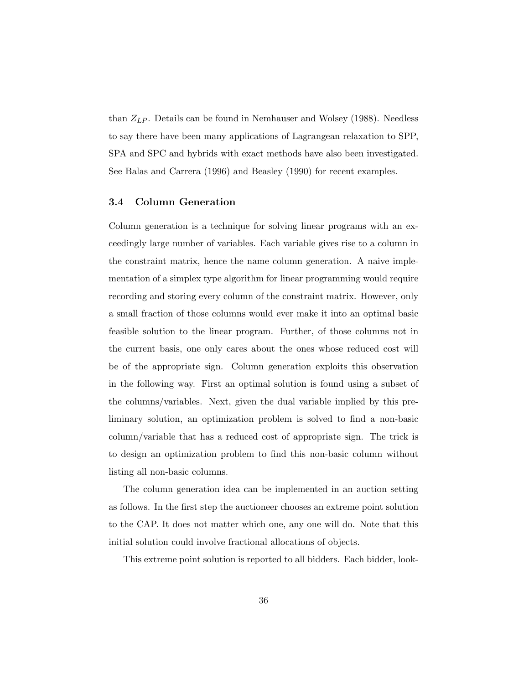<span id="page-35-0"></span>than  $Z_{LP}$ . Details can be found in Nemhauser and Wolsey (1988). Needless to say there have been many applications of Lagrangean relaxation to SPP, SPA and SPC and hybrids with exact methods have also been investigated. See Balas and Carrera (1996) and Beasley (1990) for recent examples.

### 3.4 Column Generation

Column generation is a technique for solving linear programs with an exceedingly large number of variables. Each variable gives rise to a column in the constraint matrix, hence the name column generation. A naive implementation of a simplex type algorithm for linear programming would require recording and storing every column of the constraint matrix. However, only a small fraction of those columns would ever make it into an optimal basic feasible solution to the linear program. Further, of those columns not in the current basis, one only cares about the ones whose reduced cost will be of the appropriate sign. Column generation exploits this observation in the following way. First an optimal solution is found using a subset of the columns/variables. Next, given the dual variable implied by this preliminary solution, an optimization problem is solved to find a non-basic column/variable that has a reduced cost of appropriate sign. The trick is to design an optimization problem to find this non-basic column without listing all non-basic columns.

The column generation idea can be implemented in an auction setting as follows. In the first step the auctioneer chooses an extreme point solution to the CAP. It does not matter which one, any one will do. Note that this initial solution could involve fractional allocations of objects.

This extreme point solution is reported to all bidders. Each bidder, look-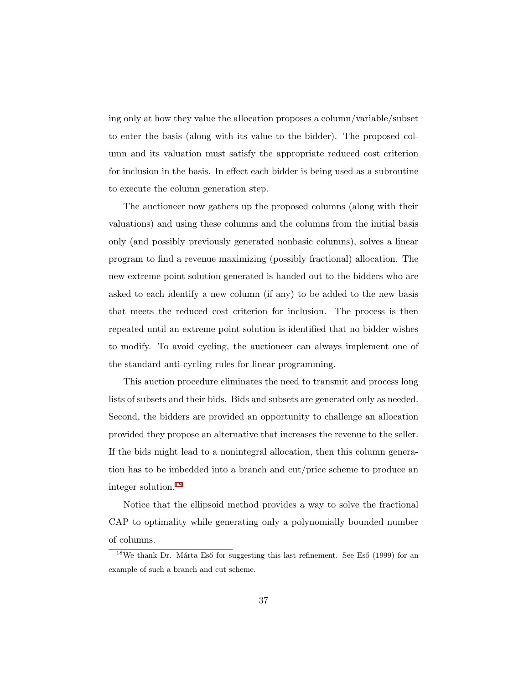ing only at how they value the allocation proposes a column/variable/subset to enter the basis (along with its value to the bidder). The proposed column and its valuation must satisfy the appropriate reduced cost criterion for inclusion in the basis. In effect each bidder is being used as a subroutine to execute the column generation step.

The auctioneer now gathers up the proposed columns (along with their valuations) and using these columns and the columns from the initial basis only (and possibly previously generated nonbasic columns), solves a linear program to find a revenue maximizing (possibly fractional) allocation. The new extreme point solution generated is handed out to the bidders who are asked to each identify a new column (if any) to be added to the new basis that meets the reduced cost criterion for inclusion. The process is then repeated until an extreme point solution is identified that no bidder wishes to modify. To avoid cycling, the auctioneer can always implement one of the standard anti-cycling rules for linear programming.

This auction procedure eliminates the need to transmit and process long lists of subsets and their bids. Bids and subsets are generated only as needed. Second, the bidders are provided an opportunity to challenge an allocation provided they propose an alternative that increases the revenue to the seller. If the bids might lead to a nonintegral allocation, then this column generation has to be imbedded into a branch and cut/price scheme to produce an integer solution.<sup>18</sup>

Notice that the ellipsoid method provides a way to solve the fractional CAP to optimality while generating only a polynomially bounded number of columns.

 $18$ We thank Dr. Márta Eső for suggesting this last refinement. See Eső (1999) for an example of such a branch and cut scheme.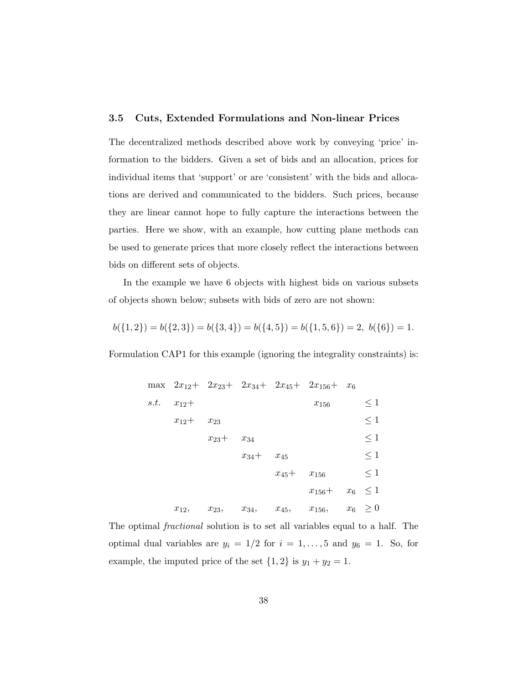## <span id="page-37-0"></span>3.5 Cuts, Extended Formulations and Non-linear Prices

The decentralized methods described above work by conveying 'price' information to the bidders. Given a set of bids and an allocation, prices for individual items that 'support' or are 'consistent' with the bids and allocations are derived and communicated to the bidders. Such prices, because they are linear cannot hope to fully capture the interactions between the parties. Here we show, with an example, how cutting plane methods can be used to generate prices that more closely reflect the interactions between bids on different sets of objects.

In the example we have 6 objects with highest bids on various subsets of objects shown below; subsets with bids of zero are not shown:

$$
b({1, 2}) = b({2, 3}) = b({3, 4}) = b({4, 5}) = b({1, 5, 6}) = 2, b({6}) = 1.
$$

Formulation CAP1 for this example (ignoring the integrality constraints) is:

$$
\begin{array}{cccc}\n\max & 2x_{12} + & 2x_{23} + & 2x_{34} + & 2x_{45} + & 2x_{156} + & x_6 \\
s.t. & x_{12} + & & x_{156} & \le 1 \\
x_{12} + & x_{23} & & \le 1 \\
x_{23} + & x_{34} & & \le 1 \\
x_{34} + & x_{45} & & \le 1 \\
x_{45} + & x_{156} & & \le 1 \\
x_{12}, & x_{23}, & x_{34}, & x_{45}, & x_{156}, & x_6 \ge 0\n\end{array}
$$

The optimal fractional solution is to set all variables equal to a half. The optimal dual variables are  $y_i = 1/2$  for  $i = 1, ..., 5$  and  $y_6 = 1$ . So, for example, the imputed price of the set  $\{1,2\}$  is  $y_1 + y_2 = 1$ .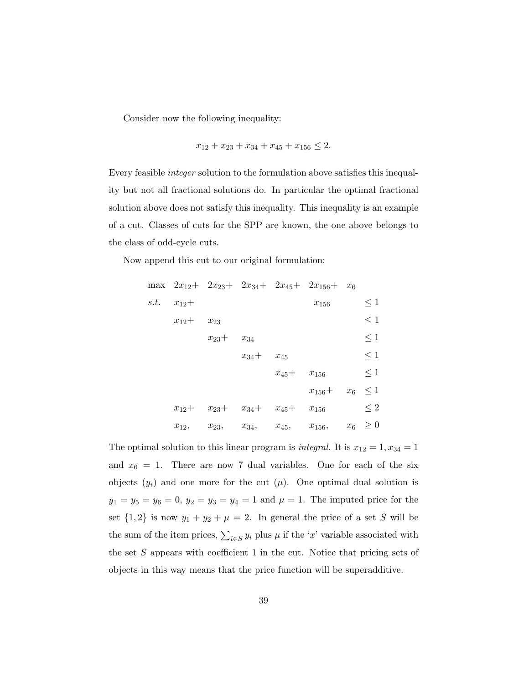Consider now the following inequality:

$$
x_{12} + x_{23} + x_{34} + x_{45} + x_{156} \le 2.
$$

Every feasible integer solution to the formulation above satisfies this inequality but not all fractional solutions do. In particular the optimal fractional solution above does not satisfy this inequality. This inequality is an example of a cut. Classes of cuts for the SPP are known, the one above belongs to the class of odd-cycle cuts.

Now append this cut to our original formulation:

|      |            |            |                     |            | max $2x_{12}+2x_{23}+2x_{34}+2x_{45}+2x_{156}+x_6$ |              |
|------|------------|------------|---------------------|------------|----------------------------------------------------|--------------|
| s.t. | $x_{12}+$  |            |                     |            | $x_{156}$                                          | $\leq 1$     |
|      | $x_{12}+$  | $x_{23}$   |                     |            |                                                    | $\leq 1$     |
|      |            | $x_{23}+$  | $x_{34}$            |            |                                                    | $\leq 1$     |
|      |            |            | $x_{34}+$           | $x_{45}$   |                                                    | $\leq 1$     |
|      |            |            |                     | $x_{45}+$  | $x_{\rm 156}$                                      | $\leq 1$     |
|      |            |            |                     |            | $x_{156}+$                                         | $x_6 \leq 1$ |
|      | $x_{12}+$  | $x_{23}+$  | $x_{34} + x_{45} +$ |            | $x_{\rm 156}$                                      | $\leq 2$     |
|      | $x_{12}$ , | $x_{23}$ , | $x_{34}$ ,          | $x_{45}$ , | $x_{156},$                                         | $x_6 \geq 0$ |

The optimal solution to this linear program is *integral*. It is  $x_{12} = 1, x_{34} = 1$ and  $x_6 = 1$ . There are now 7 dual variables. One for each of the six objects  $(y_i)$  and one more for the cut  $(\mu)$ . One optimal dual solution is  $y_1 = y_5 = y_6 = 0, y_2 = y_3 = y_4 = 1$  and  $\mu = 1$ . The imputed price for the set  $\{1, 2\}$  is now  $y_1 + y_2 + \mu = 2$ . In general the price of a set S will be the sum of the item prices,  $\sum_{i \in S} y_i$  plus  $\mu$  if the 'x' variable associated with the set S appears with coefficient 1 in the cut. Notice that pricing sets of objects in this way means that the price function will be superadditive.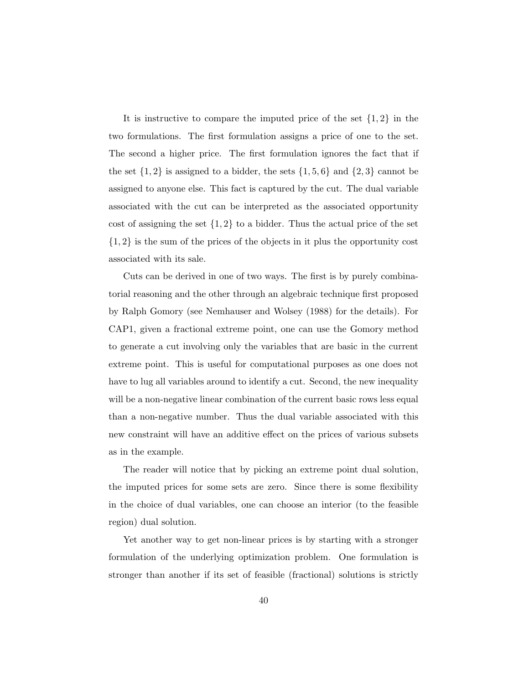It is instructive to compare the imputed price of the set  $\{1,2\}$  in the two formulations. The first formulation assigns a price of one to the set. The second a higher price. The first formulation ignores the fact that if the set  $\{1,2\}$  is assigned to a bidder, the sets  $\{1,5,6\}$  and  $\{2,3\}$  cannot be assigned to anyone else. This fact is captured by the cut. The dual variable associated with the cut can be interpreted as the associated opportunity cost of assigning the set  $\{1,2\}$  to a bidder. Thus the actual price of the set  $\{1,2\}$  is the sum of the prices of the objects in it plus the opportunity cost associated with its sale.

Cuts can be derived in one of two ways. The first is by purely combinatorial reasoning and the other through an algebraic technique first proposed by Ralph Gomory (see Nemhauser and Wolsey (1988) for the details). For CAP1, given a fractional extreme point, one can use the Gomory method to generate a cut involving only the variables that are basic in the current extreme point. This is useful for computational purposes as one does not have to lug all variables around to identify a cut. Second, the new inequality will be a non-negative linear combination of the current basic rows less equal than a non-negative number. Thus the dual variable associated with this new constraint will have an additive effect on the prices of various subsets as in the example.

The reader will notice that by picking an extreme point dual solution, the imputed prices for some sets are zero. Since there is some flexibility in the choice of dual variables, one can choose an interior (to the feasible region) dual solution.

Yet another way to get non-linear prices is by starting with a stronger formulation of the underlying optimization problem. One formulation is stronger than another if its set of feasible (fractional) solutions is strictly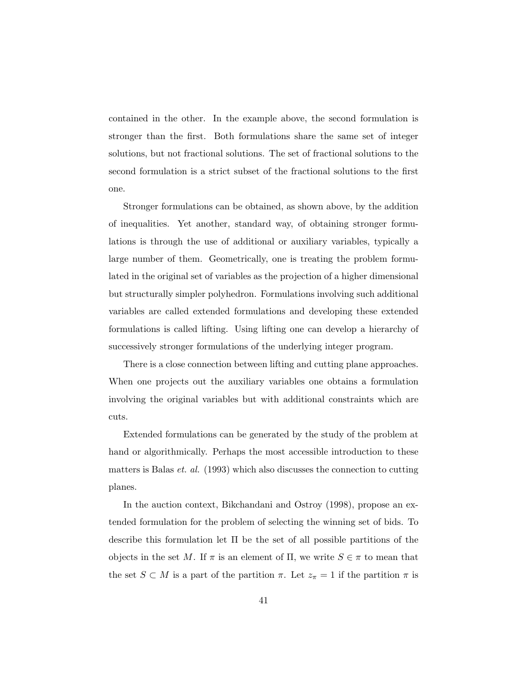contained in the other. In the example above, the second formulation is stronger than the first. Both formulations share the same set of integer solutions, but not fractional solutions. The set of fractional solutions to the second formulation is a strict subset of the fractional solutions to the first one.

Stronger formulations can be obtained, as shown above, by the addition of inequalities. Yet another, standard way, of obtaining stronger formulations is through the use of additional or auxiliary variables, typically a large number of them. Geometrically, one is treating the problem formulated in the original set of variables as the projection of a higher dimensional but structurally simpler polyhedron. Formulations involving such additional variables are called extended formulations and developing these extended formulations is called lifting. Using lifting one can develop a hierarchy of successively stronger formulations of the underlying integer program.

There is a close connection between lifting and cutting plane approaches. When one projects out the auxiliary variables one obtains a formulation involving the original variables but with additional constraints which are cuts.

Extended formulations can be generated by the study of the problem at hand or algorithmically. Perhaps the most accessible introduction to these matters is Balas *et. al.* (1993) which also discusses the connection to cutting planes.

In the auction context, Bikchandani and Ostroy (1998), propose an extended formulation for the problem of selecting the winning set of bids. To describe this formulation let Π be the set of all possible partitions of the objects in the set M. If  $\pi$  is an element of  $\Pi$ , we write  $S \in \pi$  to mean that the set  $S \subset M$  is a part of the partition  $\pi$ . Let  $z_{\pi} = 1$  if the partition  $\pi$  is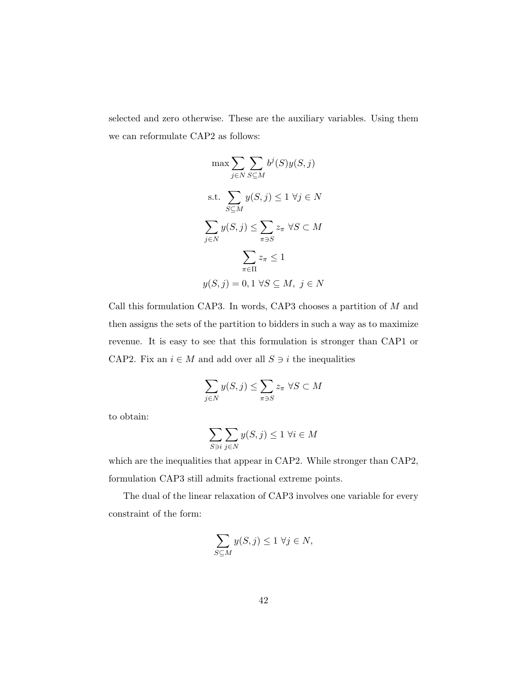selected and zero otherwise. These are the auxiliary variables. Using them we can reformulate CAP2 as follows:

$$
\max \sum_{j \in N} \sum_{S \subseteq M} b^{j}(S)y(S, j)
$$
  
s.t. 
$$
\sum_{S \subseteq M} y(S, j) \leq 1 \ \forall j \in N
$$

$$
\sum_{j \in N} y(S, j) \leq \sum_{\pi \ni S} z_{\pi} \ \forall S \subset M
$$

$$
\sum_{\pi \in \Pi} z_{\pi} \leq 1
$$

$$
y(S, j) = 0, 1 \ \forall S \subseteq M, \ j \in N
$$

Call this formulation CAP3. In words, CAP3 chooses a partition of M and then assigns the sets of the partition to bidders in such a way as to maximize revenue. It is easy to see that this formulation is stronger than CAP1 or CAP2. Fix an  $i \in M$  and add over all  $S \ni i$  the inequalities

$$
\sum_{j \in N} y(S, j) \le \sum_{\pi \ni S} z_{\pi} \ \forall S \subset M
$$

to obtain:

$$
\sum_{S \ni i} \sum_{j \in N} y(S, j) \le 1 \; \forall i \in M
$$

which are the inequalities that appear in CAP2. While stronger than CAP2, formulation CAP3 still admits fractional extreme points.

The dual of the linear relaxation of CAP3 involves one variable for every constraint of the form:

$$
\sum_{S \subseteq M} y(S, j) \le 1 \,\,\forall j \in N,
$$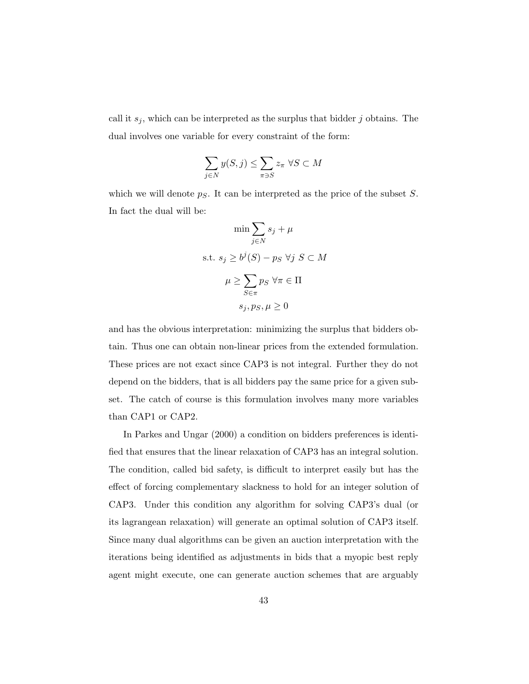call it  $s_j$ , which can be interpreted as the surplus that bidder j obtains. The dual involves one variable for every constraint of the form:

$$
\sum_{j \in N} y(S, j) \le \sum_{\pi \ni S} z_{\pi} \ \forall S \subset M
$$

which we will denote  $p<sub>S</sub>$ . It can be interpreted as the price of the subset S. In fact the dual will be:

$$
\min \sum_{j \in N} s_j + \mu
$$
  
s.t.  $s_j \ge b^j(S) - p_S \ \forall j \ S \subset M$   

$$
\mu \ge \sum_{S \in \pi} p_S \ \forall \pi \in \Pi
$$
  

$$
s_j, p_S, \mu \ge 0
$$

and has the obvious interpretation: minimizing the surplus that bidders obtain. Thus one can obtain non-linear prices from the extended formulation. These prices are not exact since CAP3 is not integral. Further they do not depend on the bidders, that is all bidders pay the same price for a given subset. The catch of course is this formulation involves many more variables than CAP1 or CAP2.

In Parkes and Ungar (2000) a condition on bidders preferences is identified that ensures that the linear relaxation of CAP3 has an integral solution. The condition, called bid safety, is difficult to interpret easily but has the effect of forcing complementary slackness to hold for an integer solution of CAP3. Under this condition any algorithm for solving CAP3's dual (or its lagrangean relaxation) will generate an optimal solution of CAP3 itself. Since many dual algorithms can be given an auction interpretation with the iterations being identified as adjustments in bids that a myopic best reply agent might execute, one can generate auction schemes that are arguably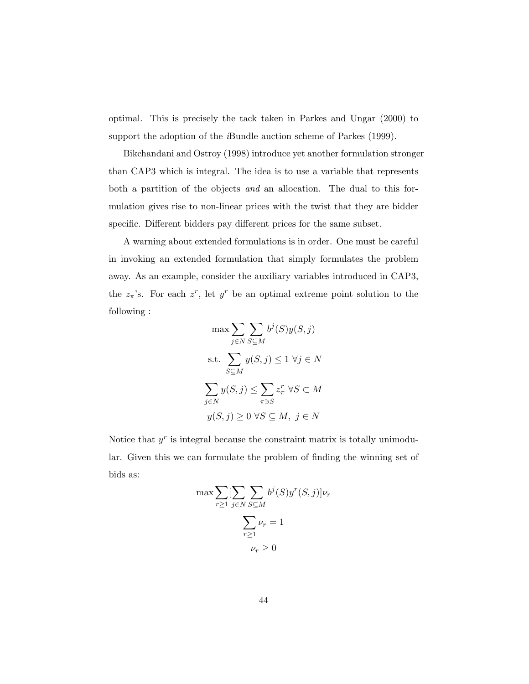optimal. This is precisely the tack taken in Parkes and Ungar (2000) to support the adoption of the *iBundle auction scheme of Parkes* (1999).

Bikchandani and Ostroy (1998) introduce yet another formulation stronger than CAP3 which is integral. The idea is to use a variable that represents both a partition of the objects and an allocation. The dual to this formulation gives rise to non-linear prices with the twist that they are bidder specific. Different bidders pay different prices for the same subset.

A warning about extended formulations is in order. One must be careful in invoking an extended formulation that simply formulates the problem away. As an example, consider the auxiliary variables introduced in CAP3, the  $z_{\pi}$ 's. For each  $z^r$ , let  $y^r$  be an optimal extreme point solution to the following :

$$
\max \sum_{j \in N} \sum_{S \subseteq M} b^{j}(S)y(S, j)
$$
  
s.t. 
$$
\sum_{S \subseteq M} y(S, j) \le 1 \ \forall j \in N
$$
  

$$
\sum_{j \in N} y(S, j) \le \sum_{\pi \ni S} z_{\pi}^{r} \ \forall S \subset M
$$
  

$$
y(S, j) \ge 0 \ \forall S \subseteq M, \ j \in N
$$

Notice that  $y<sup>r</sup>$  is integral because the constraint matrix is totally unimodular. Given this we can formulate the problem of finding the winning set of bids as:

$$
\max \sum_{r\geq 1} \sum_{j\in N} \sum_{S\subseteq M} b^j(S) y^r(S,j) ] \nu_r
$$

$$
\sum_{r\geq 1} \nu_r = 1
$$

$$
\nu_r \geq 0
$$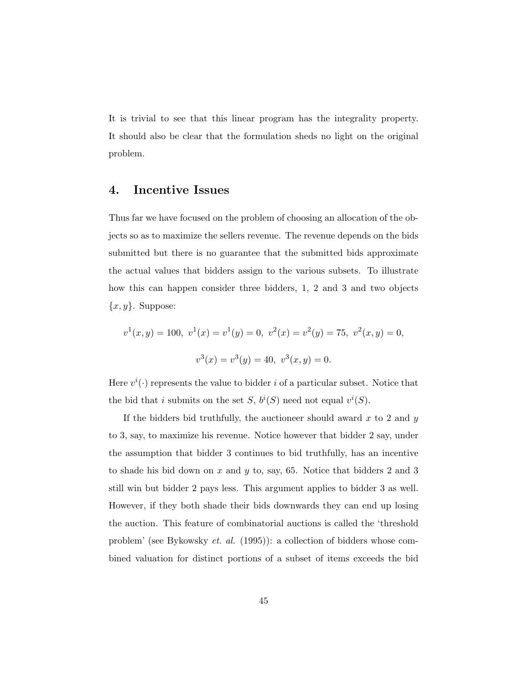<span id="page-44-0"></span>It is trivial to see that this linear program has the integrality property. It should also be clear that the formulation sheds no light on the original problem.

## 4. Incentive Issues

Thus far we have focused on the problem of choosing an allocation of the objects so as to maximize the sellers revenue. The revenue depends on the bids submitted but there is no guarantee that the submitted bids approximate the actual values that bidders assign to the various subsets. To illustrate how this can happen consider three bidders, 1, 2 and 3 and two objects  ${x, y}$ . Suppose:

$$
v^{1}(x, y) = 100, v^{1}(x) = v^{1}(y) = 0, v^{2}(x) = v^{2}(y) = 75, v^{2}(x, y) = 0,
$$
  

$$
v^{3}(x) = v^{3}(y) = 40, v^{3}(x, y) = 0.
$$

Here  $v^i(\cdot)$  represents the value to bidder *i* of a particular subset. Notice that the bid that i submits on the set S,  $b^i(S)$  need not equal  $v^i(S)$ .

If the bidders bid truthfully, the auctioneer should award  $x$  to 2 and  $y$ to 3, say, to maximize his revenue. Notice however that bidder 2 say, under the assumption that bidder 3 continues to bid truthfully, has an incentive to shade his bid down on x and y to, say, 65. Notice that bidders 2 and 3 still win but bidder 2 pays less. This argument applies to bidder 3 as well. However, if they both shade their bids downwards they can end up losing the auction. This feature of combinatorial auctions is called the 'threshold problem' (see Bykowsky et. al. (1995)): a collection of bidders whose combined valuation for distinct portions of a subset of items exceeds the bid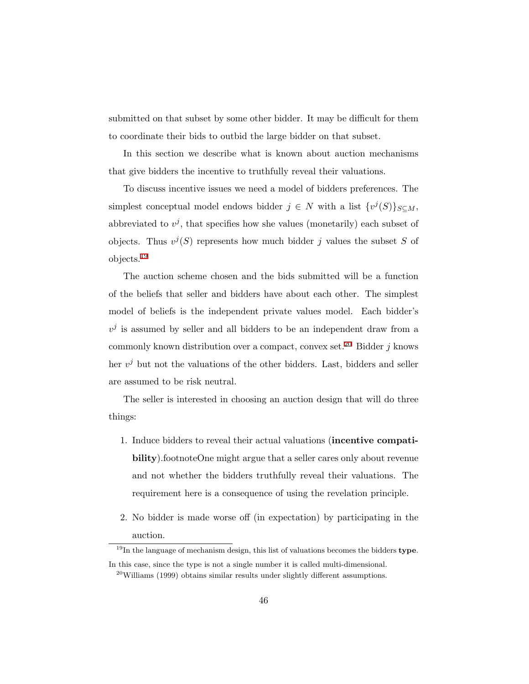submitted on that subset by some other bidder. It may be difficult for them to coordinate their bids to outbid the large bidder on that subset.

In this section we describe what is known about auction mechanisms that give bidders the incentive to truthfully reveal their valuations.

To discuss incentive issues we need a model of bidders preferences. The simplest conceptual model endows bidder  $j \in N$  with a list  $\{v^j(S)\}_{S \subseteq M}$ , abbreviated to  $v^j$ , that specifies how she values (monetarily) each subset of objects. Thus  $v^j(S)$  represents how much bidder j values the subset S of objects.<sup>19</sup>

The auction scheme chosen and the bids submitted will be a function of the beliefs that seller and bidders have about each other. The simplest model of beliefs is the independent private values model. Each bidder's  $v^j$  is assumed by seller and all bidders to be an independent draw from a commonly known distribution over a compact, convex set.<sup>20</sup> Bidder j knows her  $v^j$  but not the valuations of the other bidders. Last, bidders and seller are assumed to be risk neutral.

The seller is interested in choosing an auction design that will do three things:

- 1. Induce bidders to reveal their actual valuations (incentive compatibility).footnoteOne might argue that a seller cares only about revenue and not whether the bidders truthfully reveal their valuations. The requirement here is a consequence of using the revelation principle.
- 2. No bidder is made worse off (in expectation) by participating in the auction.

 $\frac{19}{19}$ In the language of mechanism design, this list of valuations becomes the bidders type. In this case, since the type is not a single number it is called multi-dimensional.

 $^{20}$ Williams (1999) obtains similar results under slightly different assumptions.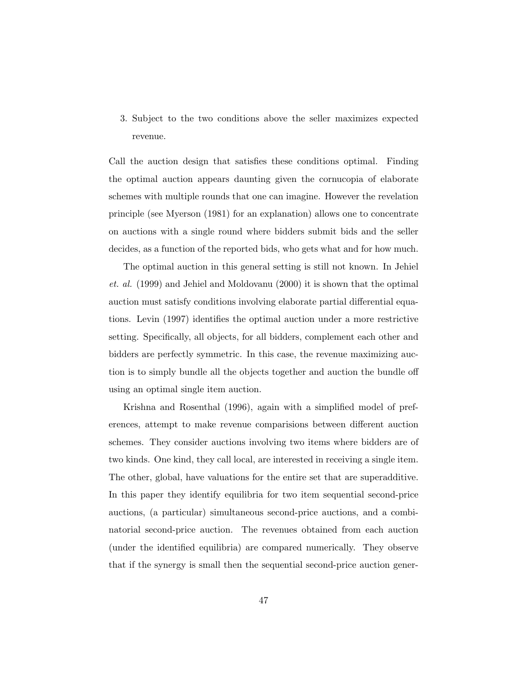3. Subject to the two conditions above the seller maximizes expected revenue.

Call the auction design that satisfies these conditions optimal. Finding the optimal auction appears daunting given the cornucopia of elaborate schemes with multiple rounds that one can imagine. However the revelation principle (see Myerson (1981) for an explanation) allows one to concentrate on auctions with a single round where bidders submit bids and the seller decides, as a function of the reported bids, who gets what and for how much.

The optimal auction in this general setting is still not known. In Jehiel et. al. (1999) and Jehiel and Moldovanu (2000) it is shown that the optimal auction must satisfy conditions involving elaborate partial differential equations. Levin (1997) identifies the optimal auction under a more restrictive setting. Specifically, all objects, for all bidders, complement each other and bidders are perfectly symmetric. In this case, the revenue maximizing auction is to simply bundle all the objects together and auction the bundle off using an optimal single item auction.

Krishna and Rosenthal (1996), again with a simplified model of preferences, attempt to make revenue comparisions between different auction schemes. They consider auctions involving two items where bidders are of two kinds. One kind, they call local, are interested in receiving a single item. The other, global, have valuations for the entire set that are superadditive. In this paper they identify equilibria for two item sequential second-price auctions, (a particular) simultaneous second-price auctions, and a combinatorial second-price auction. The revenues obtained from each auction (under the identified equilibria) are compared numerically. They observe that if the synergy is small then the sequential second-price auction gener-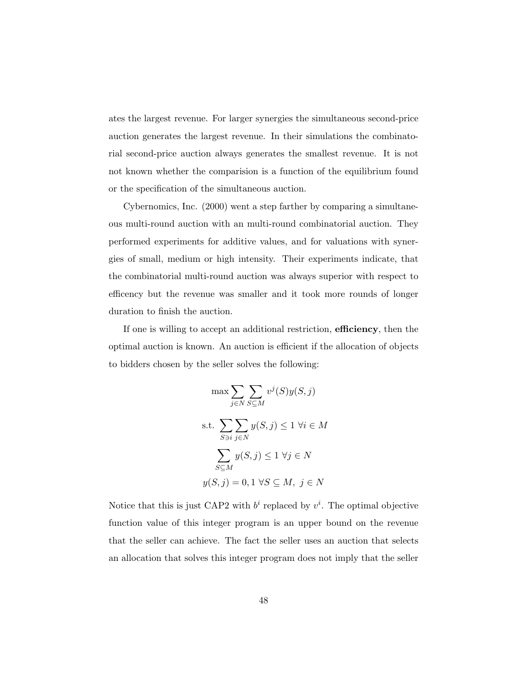ates the largest revenue. For larger synergies the simultaneous second-price auction generates the largest revenue. In their simulations the combinatorial second-price auction always generates the smallest revenue. It is not not known whether the comparision is a function of the equilibrium found or the specification of the simultaneous auction.

Cybernomics, Inc. (2000) went a step farther by comparing a simultaneous multi-round auction with an multi-round combinatorial auction. They performed experiments for additive values, and for valuations with synergies of small, medium or high intensity. Their experiments indicate, that the combinatorial multi-round auction was always superior with respect to efficency but the revenue was smaller and it took more rounds of longer duration to finish the auction.

If one is willing to accept an additional restriction, efficiency, then the optimal auction is known. An auction is efficient if the allocation of objects to bidders chosen by the seller solves the following:

$$
\max \sum_{j \in N} \sum_{S \subseteq M} v^j(S) y(S, j)
$$
  
s.t. 
$$
\sum_{S \ni i} \sum_{j \in N} y(S, j) \le 1 \ \forall i \in M
$$

$$
\sum_{S \subseteq M} y(S, j) \le 1 \ \forall j \in N
$$

$$
y(S, j) = 0, 1 \ \forall S \subseteq M, \ j \in N
$$

Notice that this is just CAP2 with  $b^i$  replaced by  $v^i$ . The optimal objective function value of this integer program is an upper bound on the revenue that the seller can achieve. The fact the seller uses an auction that selects an allocation that solves this integer program does not imply that the seller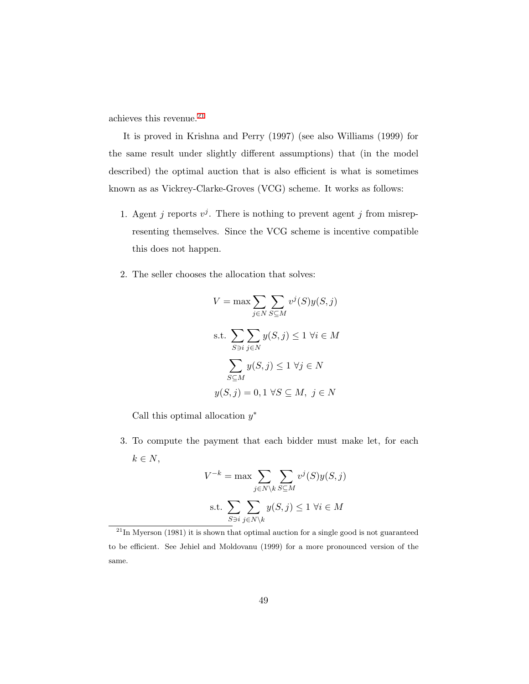achieves this revenue.  $\!\!{}^{21}$ 

It is proved in Krishna and Perry (1997) (see also Williams (1999) for the same result under slightly different assumptions) that (in the model described) the optimal auction that is also efficient is what is sometimes known as as Vickrey-Clarke-Groves (VCG) scheme. It works as follows:

- 1. Agent j reports  $v^j$ . There is nothing to prevent agent j from misrepresenting themselves. Since the VCG scheme is incentive compatible this does not happen.
- 2. The seller chooses the allocation that solves:

$$
V = \max \sum_{j \in N} \sum_{S \subseteq M} v^j(S) y(S, j)
$$
  
s.t. 
$$
\sum_{S \ni j \in N} \sum_{j \in N} y(S, j) \le 1 \ \forall i \in M
$$

$$
\sum_{S \subseteq M} y(S, j) \le 1 \ \forall j \in N
$$

$$
y(S, j) = 0, 1 \ \forall S \subseteq M, \ j \in N
$$

Call this optimal allocation  $y^*$ 

3. To compute the payment that each bidder must make let, for each  $k \in N$ ,

$$
V^{-k} = \max \sum_{j \in N \backslash k} \sum_{S \subseteq M} v^{j}(S)y(S, j)
$$
  
s.t. 
$$
\sum_{S \ni i} \sum_{j \in N \backslash k} y(S, j) \leq 1 \ \forall i \in M
$$

 $^{21}$ In Myerson (1981) it is shown that optimal auction for a single good is not guaranteed to be efficient. See Jehiel and Moldovanu (1999) for a more pronounced version of the same.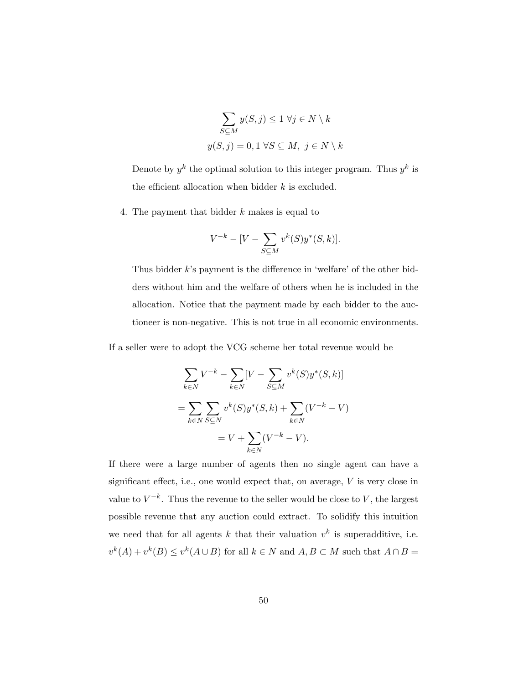$$
\sum_{S \subseteq M} y(S, j) \le 1 \,\forall j \in N \setminus k
$$
  

$$
y(S, j) = 0, 1 \,\forall S \subseteq M, \ j \in N \setminus k
$$

Denote by  $y^k$  the optimal solution to this integer program. Thus  $y^k$  is the efficient allocation when bidder  $k$  is excluded.

4. The payment that bidder k makes is equal to

$$
V^{-k} - [V - \sum_{S \subseteq M} v^k(S)y^*(S, k)].
$$

Thus bidder k's payment is the difference in 'welfare' of the other bidders without him and the welfare of others when he is included in the allocation. Notice that the payment made by each bidder to the auctioneer is non-negative. This is not true in all economic environments.

If a seller were to adopt the VCG scheme her total revenue would be

$$
\sum_{k \in N} V^{-k} - \sum_{k \in N} [V - \sum_{S \subseteq M} v^k(S)y^*(S, k)]
$$
  
= 
$$
\sum_{k \in N} \sum_{S \subseteq N} v^k(S)y^*(S, k) + \sum_{k \in N} (V^{-k} - V)
$$
  
= 
$$
V + \sum_{k \in N} (V^{-k} - V).
$$

If there were a large number of agents then no single agent can have a significant effect, i.e., one would expect that, on average,  $V$  is very close in value to  $V^{-k}$ . Thus the revenue to the seller would be close to V, the largest possible revenue that any auction could extract. To solidify this intuition we need that for all agents k that their valuation  $v^k$  is superadditive, i.e.  $v^k(A) + v^k(B) \le v^k(A \cup B)$  for all  $k \in N$  and  $A, B \subset M$  such that  $A \cap B =$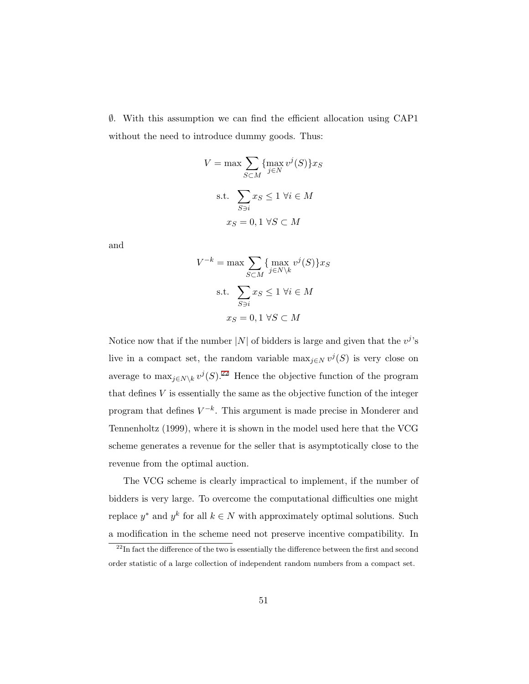∅. With this assumption we can find the efficient allocation using CAP1 without the need to introduce dummy goods. Thus:

$$
V = \max \sum_{S \subset M} \{ \max_{j \in N} v^{j}(S) \} x_{S}
$$
  
s.t. 
$$
\sum_{S \ni i} x_{S} \le 1 \ \forall i \in M
$$

$$
x_{S} = 0, 1 \ \forall S \subset M
$$

and

$$
V^{-k} = \max \sum_{S \subset M} \{ \max_{j \in N \setminus k} v^{j}(S) \} x_{S}
$$
  
s.t. 
$$
\sum_{S \ni i} x_{S} \le 1 \ \forall i \in M
$$

$$
x_{S} = 0, 1 \ \forall S \subset M
$$

Notice now that if the number |N| of bidders is large and given that the  $v^j$ 's live in a compact set, the random variable  $\max_{j \in N} v^{j}(S)$  is very close on average to  $\max_{j \in N \setminus k} v^j(S)$ .<sup>22</sup> Hence the objective function of the program that defines  $V$  is essentially the same as the objective function of the integer program that defines  $V^{-k}$ . This argument is made precise in Monderer and Tennenholtz (1999), where it is shown in the model used here that the VCG scheme generates a revenue for the seller that is asymptotically close to the revenue from the optimal auction.

The VCG scheme is clearly impractical to implement, if the number of bidders is very large. To overcome the computational difficulties one might replace  $y^*$  and  $y^k$  for all  $k \in N$  with approximately optimal solutions. Such a modification in the scheme need not preserve incentive compatibility. In

 $22$ In fact the difference of the two is essentially the difference between the first and second order statistic of a large collection of independent random numbers from a compact set.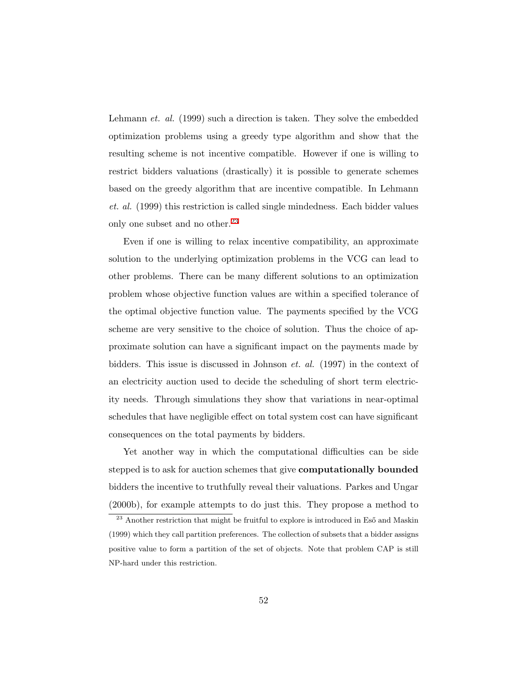Lehmann *et. al.* (1999) such a direction is taken. They solve the embedded optimization problems using a greedy type algorithm and show that the resulting scheme is not incentive compatible. However if one is willing to restrict bidders valuations (drastically) it is possible to generate schemes based on the greedy algorithm that are incentive compatible. In Lehmann et. al. (1999) this restriction is called single mindedness. Each bidder values only one subset and no other.<sup>23</sup>

Even if one is willing to relax incentive compatibility, an approximate solution to the underlying optimization problems in the VCG can lead to other problems. There can be many different solutions to an optimization problem whose objective function values are within a specified tolerance of the optimal objective function value. The payments specified by the VCG scheme are very sensitive to the choice of solution. Thus the choice of approximate solution can have a significant impact on the payments made by bidders. This issue is discussed in Johnson et. al. (1997) in the context of an electricity auction used to decide the scheduling of short term electricity needs. Through simulations they show that variations in near-optimal schedules that have negligible effect on total system cost can have significant consequences on the total payments by bidders.

Yet another way in which the computational difficulties can be side stepped is to ask for auction schemes that give computationally bounded bidders the incentive to truthfully reveal their valuations. Parkes and Ungar (2000b), for example attempts to do just this. They propose a method to

 $^{23}$  Another restriction that might be fruitful to explore is introduced in Es<sup> $\sigma$ </sup> and Maskin (1999) which they call partition preferences. The collection of subsets that a bidder assigns positive value to form a partition of the set of objects. Note that problem CAP is still NP-hard under this restriction.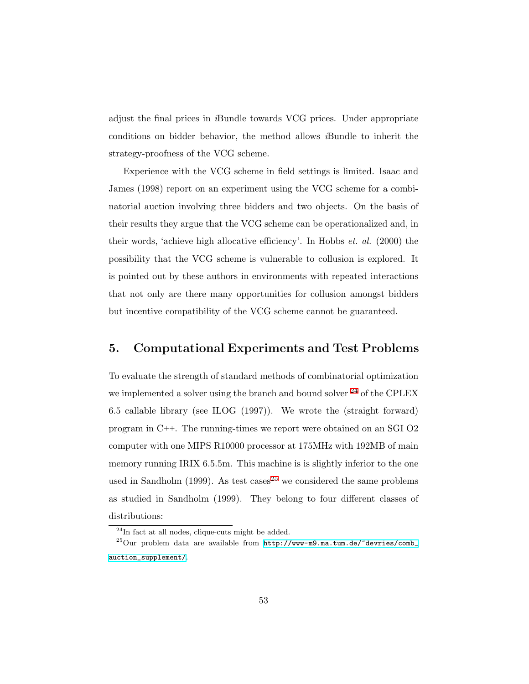<span id="page-52-0"></span>adjust the final prices in iBundle towards VCG prices. Under appropriate conditions on bidder behavior, the method allows iBundle to inherit the strategy-proofness of the VCG scheme.

Experience with the VCG scheme in field settings is limited. Isaac and James (1998) report on an experiment using the VCG scheme for a combinatorial auction involving three bidders and two objects. On the basis of their results they argue that the VCG scheme can be operationalized and, in their words, 'achieve high allocative efficiency'. In Hobbs et. al. (2000) the possibility that the VCG scheme is vulnerable to collusion is explored. It is pointed out by these authors in environments with repeated interactions that not only are there many opportunities for collusion amongst bidders but incentive compatibility of the VCG scheme cannot be guaranteed.

## 5. Computational Experiments and Test Problems

To evaluate the strength of standard methods of combinatorial optimization we implemented a solver using the branch and bound solver  $^{24}$  of the CPLEX 6.5 callable library (see ILOG (1997)). We wrote the (straight forward) program in C++. The running-times we report were obtained on an SGI O2 computer with one MIPS R10000 processor at 175MHz with 192MB of main memory running IRIX 6.5.5m. This machine is is slightly inferior to the one used in Sandholm  $(1999)$ . As test cases<sup>25</sup> we considered the same problems as studied in Sandholm (1999). They belong to four different classes of distributions:

 $^{24}$ In fact at all nodes, clique-cuts might be added.

 $^{25}$ Our problem data are available from [http://www-m9.ma.tum.de/~devries/comb\\_](http://www-m9.ma.tum.de/~devries/comb_auction_supplement/) [auction\\_supplement/](http://www-m9.ma.tum.de/~devries/comb_auction_supplement/).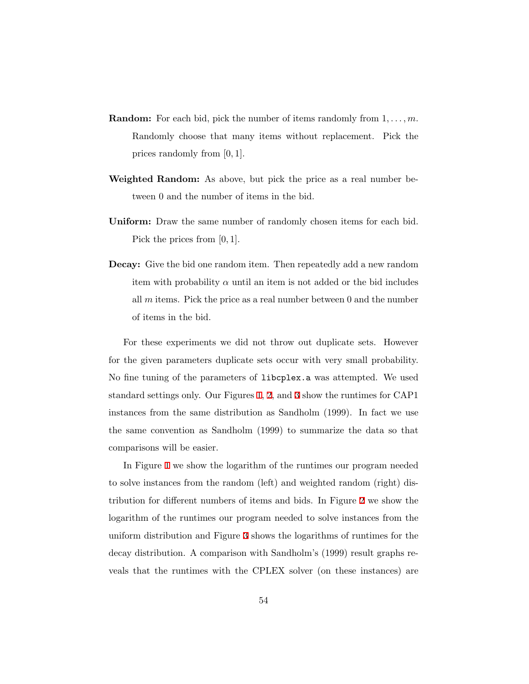- **Random:** For each bid, pick the number of items randomly from  $1, \ldots, m$ . Randomly choose that many items without replacement. Pick the prices randomly from [0, 1].
- Weighted Random: As above, but pick the price as a real number between 0 and the number of items in the bid.
- Uniform: Draw the same number of randomly chosen items for each bid. Pick the prices from [0, 1].
- Decay: Give the bid one random item. Then repeatedly add a new random item with probability  $\alpha$  until an item is not added or the bid includes all  $m$  items. Pick the price as a real number between 0 and the number of items in the bid.

For these experiments we did not throw out duplicate sets. However for the given parameters duplicate sets occur with very small probability. No fine tuning of the parameters of libcplex.a was attempted. We used standard settings only. Our Figures [1,](#page-54-0) [2,](#page-55-0) and [3](#page-56-0) show the runtimes for CAP1 instances from the same distribution as Sandholm (1999). In fact we use the same convention as Sandholm (1999) to summarize the data so that comparisons will be easier.

In Figure [1](#page-54-0) we show the logarithm of the runtimes our program needed to solve instances from the random (left) and weighted random (right) distribution for different numbers of items and bids. In Figure [2](#page-55-0) we show the logarithm of the runtimes our program needed to solve instances from the uniform distribution and Figure [3](#page-56-0) shows the logarithms of runtimes for the decay distribution. A comparison with Sandholm's (1999) result graphs reveals that the runtimes with the CPLEX solver (on these instances) are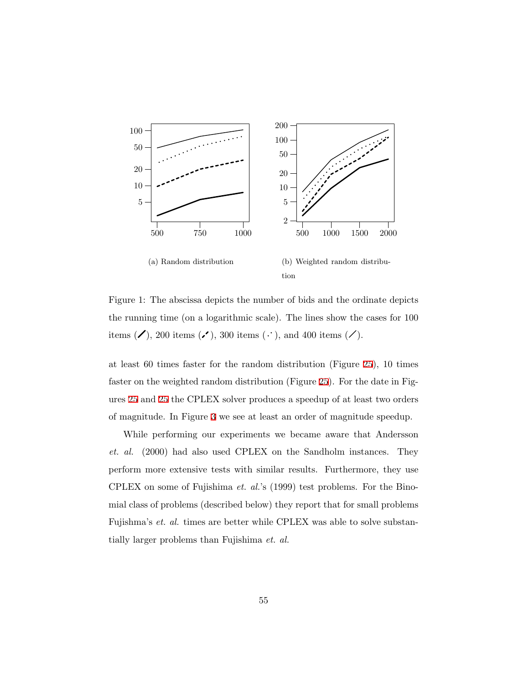<span id="page-54-0"></span>

Figure 1: The abscissa depicts the number of bids and the ordinate depicts the running time (on a logarithmic scale). The lines show the cases for 100 items  $(\checkmark)$ , 200 items  $(\checkmark)$ , 300 items  $(\cdot)$ , and 400 items  $(\checkmark)$ .

at least 60 times faster for the random distribution (Figure 25), 10 times faster on the weighted random distribution (Figure 25). For the date in Figures [25](#page-55-0) and [25](#page-55-0) the CPLEX solver produces a speedup of at least two orders of magnitude. In Figure [3](#page-56-0) we see at least an order of magnitude speedup.

While performing our experiments we became aware that Andersson et. al. (2000) had also used CPLEX on the Sandholm instances. They perform more extensive tests with similar results. Furthermore, they use CPLEX on some of Fujishima et. al.'s (1999) test problems. For the Binomial class of problems (described below) they report that for small problems Fujishma's et. al. times are better while CPLEX was able to solve substantially larger problems than Fujishima et. al.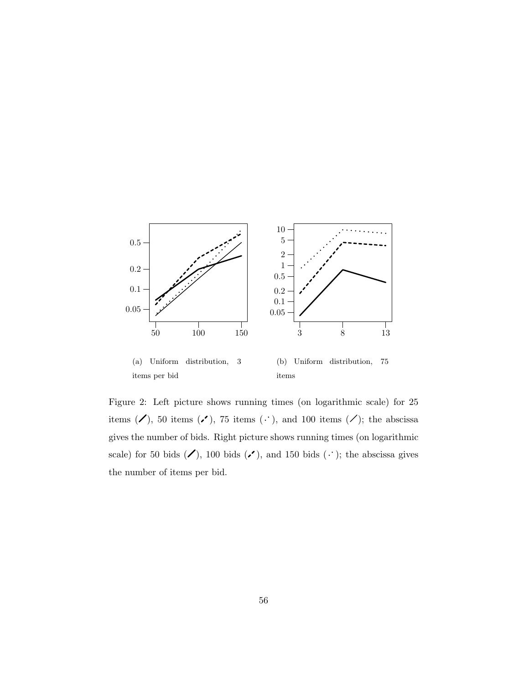<span id="page-55-0"></span>

Figure 2: Left picture shows running times (on logarithmic scale) for 25 items  $(\checkmark)$ , 50 items  $(\checkmark)$ , 75 items  $(\cdot)$ , and 100 items  $(\checkmark)$ ; the abscissa gives the number of bids. Right picture shows running times (on logarithmic scale) for 50 bids  $(\checkmark)$ , 100 bids  $(\checkmark)$ , and 150 bids  $(\cdot)$ ; the abscissa gives the number of items per bid.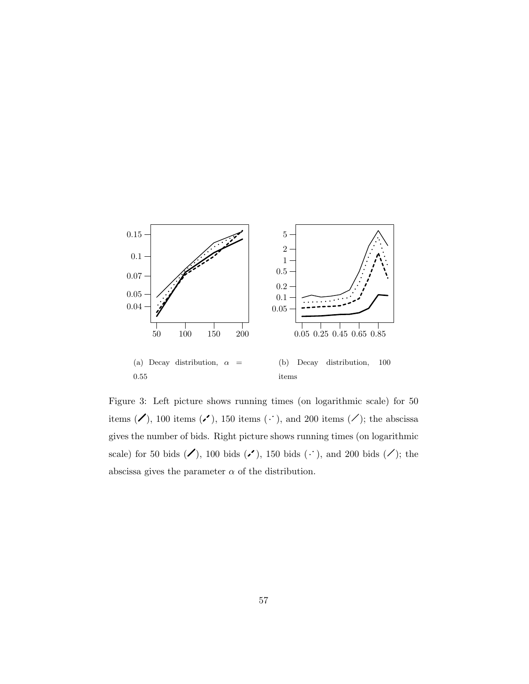<span id="page-56-0"></span>

Figure 3: Left picture shows running times (on logarithmic scale) for 50 items  $(\checkmark)$ , 100 items  $(\checkmark)$ , 150 items  $(\cdot)$ , and 200 items  $(\checkmark)$ ; the abscissa gives the number of bids. Right picture shows running times (on logarithmic scale) for 50 bids  $(\checkmark)$ , 100 bids  $(\checkmark)$ , 150 bids  $(\cdot)$ , and 200 bids  $(\checkmark)$ ; the abscissa gives the parameter  $\alpha$  of the distribution.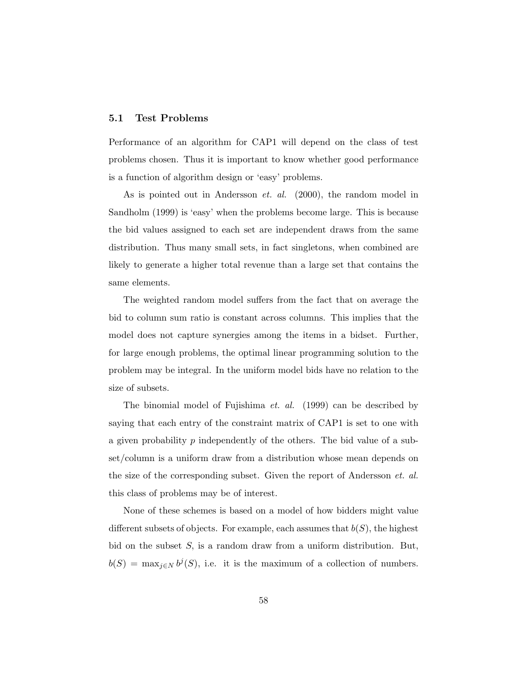## <span id="page-57-0"></span>5.1 Test Problems

Performance of an algorithm for CAP1 will depend on the class of test problems chosen. Thus it is important to know whether good performance is a function of algorithm design or 'easy' problems.

As is pointed out in Andersson *et. al.* (2000), the random model in Sandholm (1999) is 'easy' when the problems become large. This is because the bid values assigned to each set are independent draws from the same distribution. Thus many small sets, in fact singletons, when combined are likely to generate a higher total revenue than a large set that contains the same elements.

The weighted random model suffers from the fact that on average the bid to column sum ratio is constant across columns. This implies that the model does not capture synergies among the items in a bidset. Further, for large enough problems, the optimal linear programming solution to the problem may be integral. In the uniform model bids have no relation to the size of subsets.

The binomial model of Fujishima et. al. (1999) can be described by saying that each entry of the constraint matrix of CAP1 is set to one with a given probability  $p$  independently of the others. The bid value of a subset/column is a uniform draw from a distribution whose mean depends on the size of the corresponding subset. Given the report of Andersson *et. al.* this class of problems may be of interest.

None of these schemes is based on a model of how bidders might value different subsets of objects. For example, each assumes that  $b(S)$ , the highest bid on the subset S, is a random draw from a uniform distribution. But,  $b(S) = \max_{j \in N} b^{j}(S)$ , i.e. it is the maximum of a collection of numbers.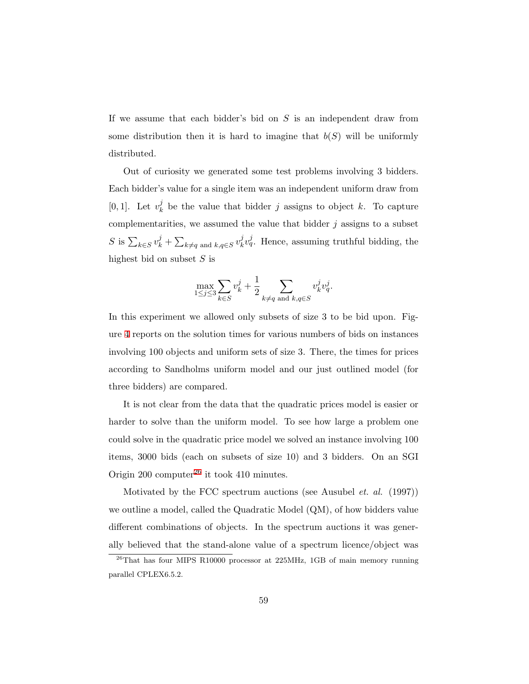If we assume that each bidder's bid on  $S$  is an independent draw from some distribution then it is hard to imagine that  $b(S)$  will be uniformly distributed.

Out of curiosity we generated some test problems involving 3 bidders. Each bidder's value for a single item was an independent uniform draw from [0, 1]. Let  $v_k^j$  $\lambda_k^j$  be the value that bidder j assigns to object k. To capture complementarities, we assumed the value that bidder  $j$  assigns to a subset S is  $\sum_{k \in S} v_k^j + \sum_{k \neq q} \text{ and } k, q \in S$   $v_k^j$  $\dot{h}v\dot{q}$ . Hence, assuming truthful bidding, the highest bid on subset  $S$  is

$$
\max_{1\leq j\leq 3}\sum_{k\in S}v_k^j+\frac{1}{2}\sum_{k\neq q\text{ and }k,q\in S}v_k^jv_q^j.
$$

In this experiment we allowed only subsets of size 3 to be bid upon. Figure [4](#page-59-0) reports on the solution times for various numbers of bids on instances involving 100 objects and uniform sets of size 3. There, the times for prices according to Sandholms uniform model and our just outlined model (for three bidders) are compared.

It is not clear from the data that the quadratic prices model is easier or harder to solve than the uniform model. To see how large a problem one could solve in the quadratic price model we solved an instance involving 100 items, 3000 bids (each on subsets of size 10) and 3 bidders. On an SGI Origin 200 computer $^{26}$  it took 410 minutes.

Motivated by the FCC spectrum auctions (see Ausubel *et. al.* (1997)) we outline a model, called the Quadratic Model (QM), of how bidders value different combinations of objects. In the spectrum auctions it was generally believed that the stand-alone value of a spectrum licence/object was

<sup>26</sup>That has four MIPS R10000 processor at 225MHz, 1GB of main memory running parallel CPLEX6.5.2.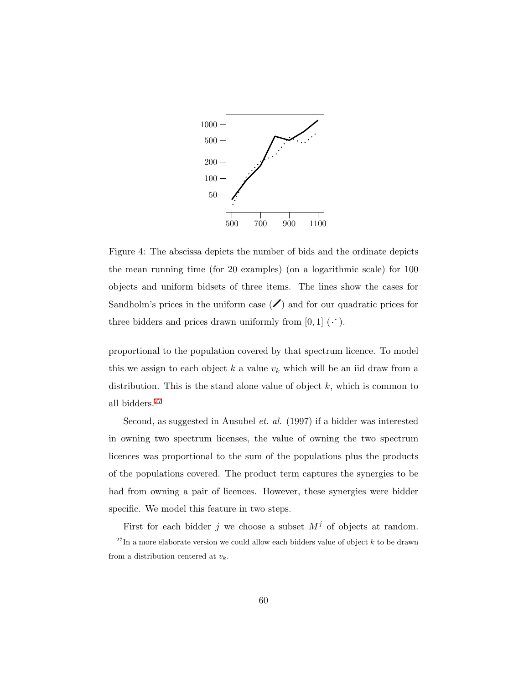<span id="page-59-0"></span>

Figure 4: The abscissa depicts the number of bids and the ordinate depicts the mean running time (for 20 examples) (on a logarithmic scale) for 100 objects and uniform bidsets of three items. The lines show the cases for Sandholm's prices in the uniform case  $(\angle)$  and for our quadratic prices for three bidders and prices drawn uniformly from  $[0, 1]$   $(\cdot)$ .

proportional to the population covered by that spectrum licence. To model this we assign to each object  $k$  a value  $v_k$  which will be an iid draw from a distribution. This is the stand alone value of object  $k$ , which is common to all bidders.<sup>27</sup>

Second, as suggested in Ausubel et. al. (1997) if a bidder was interested in owning two spectrum licenses, the value of owning the two spectrum licences was proportional to the sum of the populations plus the products of the populations covered. The product term captures the synergies to be had from owning a pair of licences. However, these synergies were bidder specific. We model this feature in two steps.

First for each bidder  $j$  we choose a subset  $M^j$  of objects at random.  $27 \text{ In a more elaborate version we could allow each bidders value of object } k \text{ to be drawn}$ from a distribution centered at  $v_k$ .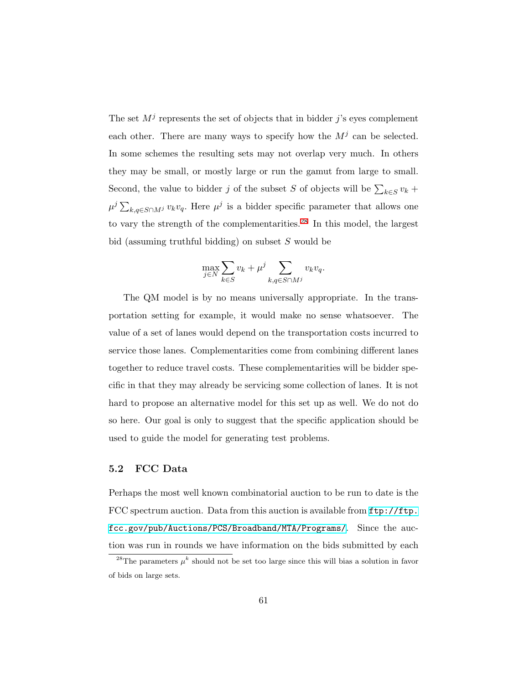<span id="page-60-0"></span>The set  $M^j$  represents the set of objects that in bidder j's eyes complement each other. There are many ways to specify how the  $M^j$  can be selected. In some schemes the resulting sets may not overlap very much. In others they may be small, or mostly large or run the gamut from large to small. Second, the value to bidder *j* of the subset S of objects will be  $\sum_{k \in S} v_k$  +  $\mu^j \sum_{k,q \in S \cap M^j} v_k v_q$ . Here  $\mu^j$  is a bidder specific parameter that allows one to vary the strength of the complementarities.<sup>28</sup> In this model, the largest bid (assuming truthful bidding) on subset S would be

$$
\max_{j\in N}\sum_{k\in S}v_k+\mu^j\sum_{k,q\in S\cap M^j}v_kv_q.
$$

The QM model is by no means universally appropriate. In the transportation setting for example, it would make no sense whatsoever. The value of a set of lanes would depend on the transportation costs incurred to service those lanes. Complementarities come from combining different lanes together to reduce travel costs. These complementarities will be bidder specific in that they may already be servicing some collection of lanes. It is not hard to propose an alternative model for this set up as well. We do not do so here. Our goal is only to suggest that the specific application should be used to guide the model for generating test problems.

## 5.2 FCC Data

Perhaps the most well known combinatorial auction to be run to date is the FCC spectrum auction. Data from this auction is available from [ftp://ftp.](ftp://ftp.fcc.gov/pub/Auctions/PCS/Broadband/MTA/Programs/) [fcc.gov/pub/Auctions/PCS/Broadband/MTA/Programs/](ftp://ftp.fcc.gov/pub/Auctions/PCS/Broadband/MTA/Programs/). Since the auction was run in rounds we have information on the bids submitted by each

<sup>&</sup>lt;sup>28</sup>The parameters  $\mu^k$  should not be set too large since this will bias a solution in favor of bids on large sets.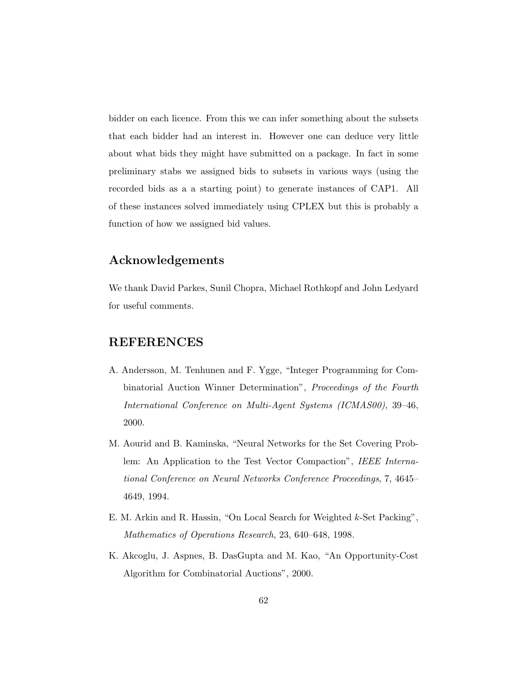bidder on each licence. From this we can infer something about the subsets that each bidder had an interest in. However one can deduce very little about what bids they might have submitted on a package. In fact in some preliminary stabs we assigned bids to subsets in various ways (using the recorded bids as a a starting point) to generate instances of CAP1. All of these instances solved immediately using CPLEX but this is probably a function of how we assigned bid values.

## Acknowledgements

We thank David Parkes, Sunil Chopra, Michael Rothkopf and John Ledyard for useful comments.

## REFERENCES

- A. Andersson, M. Tenhunen and F. Ygge, "Integer Programming for Combinatorial Auction Winner Determination", Proceedings of the Fourth International Conference on Multi-Agent Systems (ICMAS00), 39–46, 2000.
- M. Aourid and B. Kaminska, "Neural Networks for the Set Covering Problem: An Application to the Test Vector Compaction", IEEE International Conference on Neural Networks Conference Proceedings, 7, 4645– 4649, 1994.
- E. M. Arkin and R. Hassin, "On Local Search for Weighted k-Set Packing", Mathematics of Operations Research, 23, 640–648, 1998.
- K. Akcoglu, J. Aspnes, B. DasGupta and M. Kao, "An Opportunity-Cost Algorithm for Combinatorial Auctions", 2000.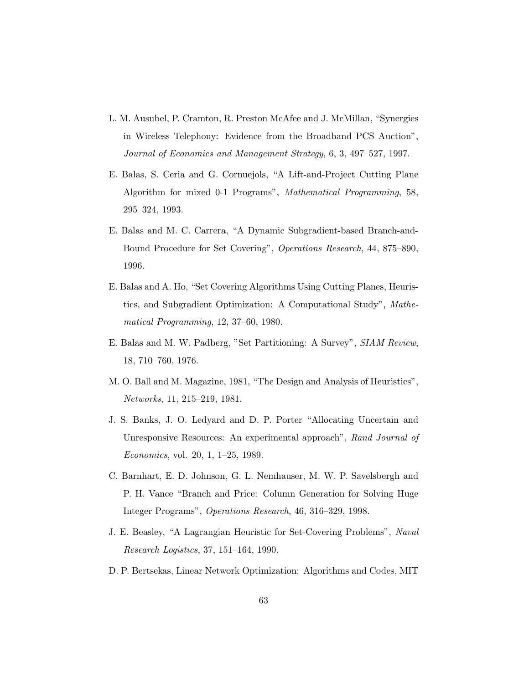- L. M. Ausubel, P. Cramton, R. Preston McAfee and J. McMillan, "Synergies in Wireless Telephony: Evidence from the Broadband PCS Auction", Journal of Economics and Management Strategy, 6, 3, 497–527, 1997.
- E. Balas, S. Ceria and G. Cornuejols, "A Lift-and-Project Cutting Plane Algorithm for mixed 0-1 Programs", Mathematical Programming, 58, 295–324, 1993.
- E. Balas and M. C. Carrera, "A Dynamic Subgradient-based Branch-and-Bound Procedure for Set Covering", Operations Research, 44, 875–890, 1996.
- E. Balas and A. Ho, "Set Covering Algorithms Using Cutting Planes, Heuristics, and Subgradient Optimization: A Computational Study", Mathematical Programming, 12, 37–60, 1980.
- E. Balas and M. W. Padberg, "Set Partitioning: A Survey", SIAM Review, 18, 710–760, 1976.
- M. O. Ball and M. Magazine, 1981, "The Design and Analysis of Heuristics", Networks, 11, 215–219, 1981.
- J. S. Banks, J. O. Ledyard and D. P. Porter "Allocating Uncertain and Unresponsive Resources: An experimental approach", Rand Journal of Economics, vol. 20, 1, 1–25, 1989.
- C. Barnhart, E. D. Johnson, G. L. Nemhauser, M. W. P. Savelsbergh and P. H. Vance "Branch and Price: Column Generation for Solving Huge Integer Programs", Operations Research, 46, 316–329, 1998.
- J. E. Beasley, "A Lagrangian Heuristic for Set-Covering Problems", Naval Research Logistics, 37, 151–164, 1990.
- D. P. Bertsekas, Linear Network Optimization: Algorithms and Codes, MIT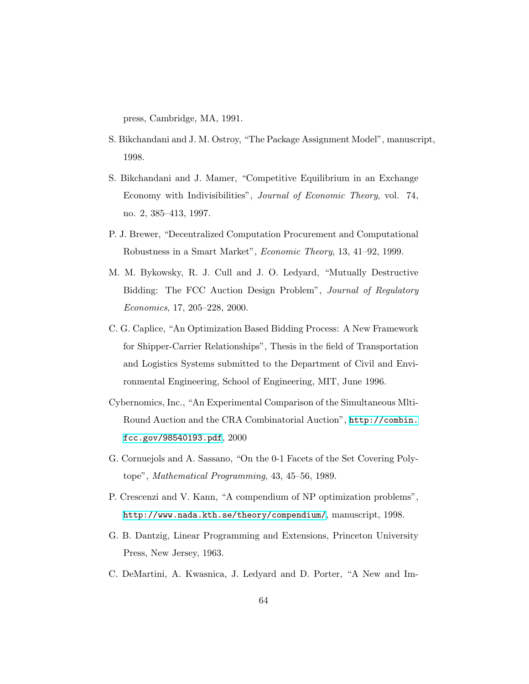press, Cambridge, MA, 1991.

- S. Bikchandani and J. M. Ostroy, "The Package Assignment Model", manuscript, 1998.
- S. Bikchandani and J. Mamer, "Competitive Equilibrium in an Exchange Economy with Indivisibilities", Journal of Economic Theory, vol. 74, no. 2, 385–413, 1997.
- P. J. Brewer, "Decentralized Computation Procurement and Computational Robustness in a Smart Market", Economic Theory, 13, 41–92, 1999.
- M. M. Bykowsky, R. J. Cull and J. O. Ledyard, "Mutually Destructive Bidding: The FCC Auction Design Problem", Journal of Regulatory Economics, 17, 205–228, 2000.
- C. G. Caplice, "An Optimization Based Bidding Process: A New Framework for Shipper-Carrier Relationships", Thesis in the field of Transportation and Logistics Systems submitted to the Department of Civil and Environmental Engineering, School of Engineering, MIT, June 1996.
- Cybernomics, Inc., "An Experimental Comparison of the Simultaneous Mlti-Round Auction and the CRA Combinatorial Auction", [http://combin.](http://combin.fcc.gov/98540193.pdf) [fcc.gov/98540193.pdf](http://combin.fcc.gov/98540193.pdf), 2000
- G. Cornuejols and A. Sassano, "On the 0-1 Facets of the Set Covering Polytope", Mathematical Programming, 43, 45–56, 1989.
- P. Crescenzi and V. Kann, "A compendium of NP optimization problems", <http://www.nada.kth.se/theory/compendium/>, manuscript, 1998.
- G. B. Dantzig, Linear Programming and Extensions, Princeton University Press, New Jersey, 1963.
- C. DeMartini, A. Kwasnica, J. Ledyard and D. Porter, "A New and Im-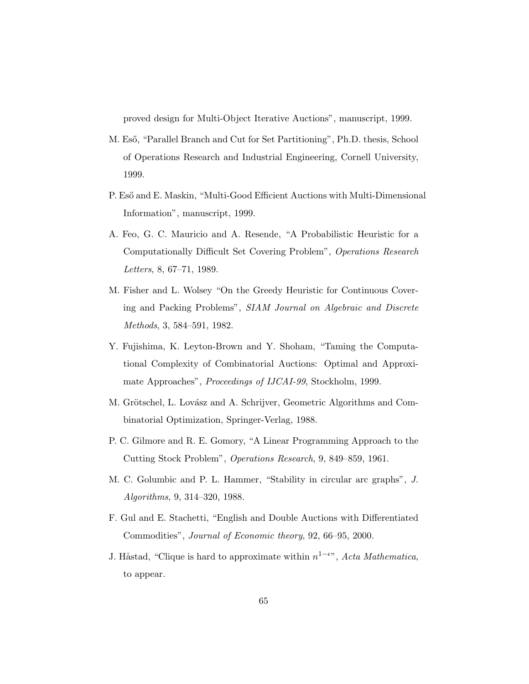proved design for Multi-Object Iterative Auctions", manuscript, 1999.

- M. Eső, "Parallel Branch and Cut for Set Partitioning", Ph.D. thesis, School of Operations Research and Industrial Engineering, Cornell University, 1999.
- P. Eső and E. Maskin, "Multi-Good Efficient Auctions with Multi-Dimensional Information", manuscript, 1999.
- A. Feo, G. C. Mauricio and A. Resende, "A Probabilistic Heuristic for a Computationally Difficult Set Covering Problem", Operations Research Letters, 8, 67–71, 1989.
- M. Fisher and L. Wolsey "On the Greedy Heuristic for Continuous Covering and Packing Problems", SIAM Journal on Algebraic and Discrete Methods, 3, 584–591, 1982.
- Y. Fujishima, K. Leyton-Brown and Y. Shoham, "Taming the Computational Complexity of Combinatorial Auctions: Optimal and Approximate Approaches", *Proceedings of IJCAI-99*, Stockholm, 1999.
- M. Grötschel, L. Lovász and A. Schrijver, Geometric Algorithms and Combinatorial Optimization, Springer-Verlag, 1988.
- P. C. Gilmore and R. E. Gomory, "A Linear Programming Approach to the Cutting Stock Problem", Operations Research, 9, 849–859, 1961.
- M. C. Golumbic and P. L. Hammer, "Stability in circular arc graphs", J. Algorithms, 9, 314–320, 1988.
- F. Gul and E. Stachetti, "English and Double Auctions with Differentiated Commodities", Journal of Economic theory, 92, 66–95, 2000.
- J. Håstad, "Clique is hard to approximate within  $n^{1-\epsilon}$ ", Acta Mathematica, to appear.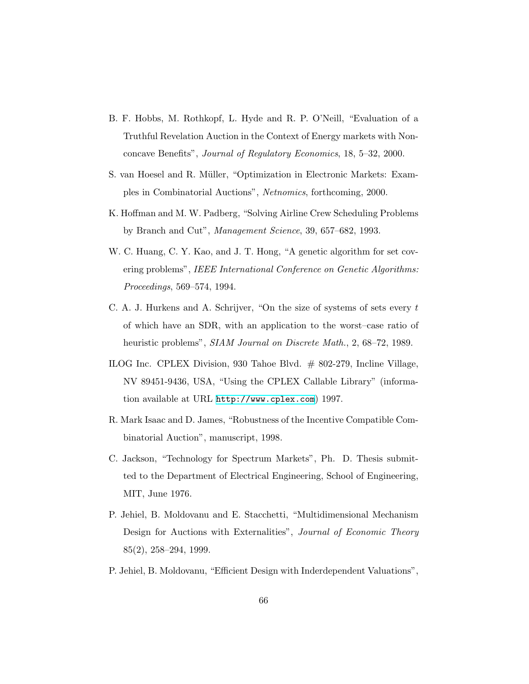- B. F. Hobbs, M. Rothkopf, L. Hyde and R. P. O'Neill, "Evaluation of a Truthful Revelation Auction in the Context of Energy markets with Nonconcave Benefits", Journal of Regulatory Economics, 18, 5–32, 2000.
- S. van Hoesel and R. Müller, "Optimization in Electronic Markets: Examples in Combinatorial Auctions", Netnomics, forthcoming, 2000.
- K. Hoffman and M. W. Padberg, "Solving Airline Crew Scheduling Problems by Branch and Cut", Management Science, 39, 657–682, 1993.
- W. C. Huang, C. Y. Kao, and J. T. Hong, "A genetic algorithm for set covering problems", IEEE International Conference on Genetic Algorithms: Proceedings, 569–574, 1994.
- C. A. J. Hurkens and A. Schrijver, "On the size of systems of sets every  $t$ of which have an SDR, with an application to the worst–case ratio of heuristic problems", *SIAM Journal on Discrete Math.*, 2, 68–72, 1989.
- ILOG Inc. CPLEX Division, 930 Tahoe Blvd. # 802-279, Incline Village, NV 89451-9436, USA, "Using the CPLEX Callable Library" (information available at URL <http://www.cplex.com>) 1997.
- R. Mark Isaac and D. James, "Robustness of the Incentive Compatible Combinatorial Auction", manuscript, 1998.
- C. Jackson, "Technology for Spectrum Markets", Ph. D. Thesis submitted to the Department of Electrical Engineering, School of Engineering, MIT, June 1976.
- P. Jehiel, B. Moldovanu and E. Stacchetti, "Multidimensional Mechanism Design for Auctions with Externalities", Journal of Economic Theory 85(2), 258–294, 1999.
- P. Jehiel, B. Moldovanu, "Efficient Design with Inderdependent Valuations",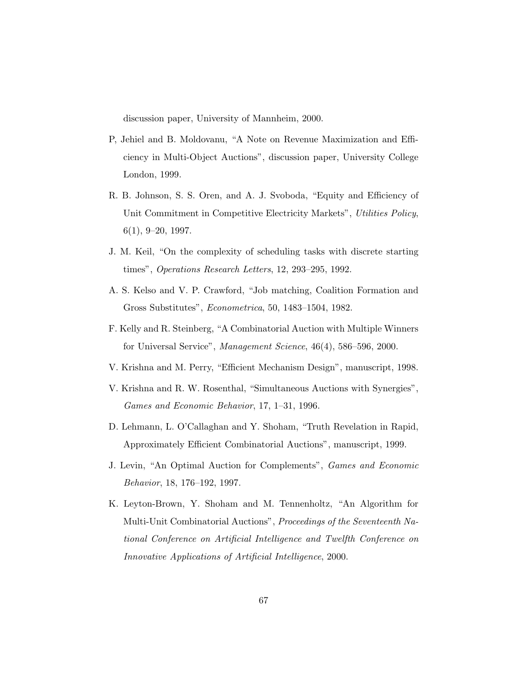discussion paper, University of Mannheim, 2000.

- P, Jehiel and B. Moldovanu, "A Note on Revenue Maximization and Efficiency in Multi-Object Auctions", discussion paper, University College London, 1999.
- R. B. Johnson, S. S. Oren, and A. J. Svoboda, "Equity and Efficiency of Unit Commitment in Competitive Electricity Markets", Utilities Policy, 6(1), 9–20, 1997.
- J. M. Keil, "On the complexity of scheduling tasks with discrete starting times", Operations Research Letters, 12, 293–295, 1992.
- A. S. Kelso and V. P. Crawford, "Job matching, Coalition Formation and Gross Substitutes", Econometrica, 50, 1483–1504, 1982.
- F. Kelly and R. Steinberg, "A Combinatorial Auction with Multiple Winners for Universal Service", Management Science, 46(4), 586–596, 2000.
- V. Krishna and M. Perry, "Efficient Mechanism Design", manuscript, 1998.
- V. Krishna and R. W. Rosenthal, "Simultaneous Auctions with Synergies", Games and Economic Behavior, 17, 1–31, 1996.
- D. Lehmann, L. O'Callaghan and Y. Shoham, "Truth Revelation in Rapid, Approximately Efficient Combinatorial Auctions", manuscript, 1999.
- J. Levin, "An Optimal Auction for Complements", Games and Economic Behavior, 18, 176–192, 1997.
- K. Leyton-Brown, Y. Shoham and M. Tennenholtz, "An Algorithm for Multi-Unit Combinatorial Auctions", Proceedings of the Seventeenth National Conference on Artificial Intelligence and Twelfth Conference on Innovative Applications of Artificial Intelligence, 2000.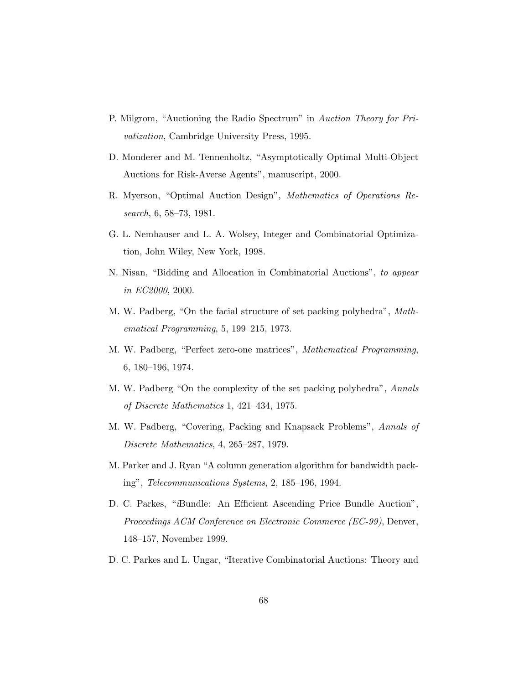- P. Milgrom, "Auctioning the Radio Spectrum" in Auction Theory for Privatization, Cambridge University Press, 1995.
- D. Monderer and M. Tennenholtz, "Asymptotically Optimal Multi-Object Auctions for Risk-Averse Agents", manuscript, 2000.
- R. Myerson, "Optimal Auction Design", Mathematics of Operations Research, 6, 58–73, 1981.
- G. L. Nemhauser and L. A. Wolsey, Integer and Combinatorial Optimization, John Wiley, New York, 1998.
- N. Nisan, "Bidding and Allocation in Combinatorial Auctions", to appear in EC2000, 2000.
- M. W. Padberg, "On the facial structure of set packing polyhedra", Mathematical Programming, 5, 199–215, 1973.
- M. W. Padberg, "Perfect zero-one matrices", Mathematical Programming, 6, 180–196, 1974.
- M. W. Padberg "On the complexity of the set packing polyhedra", Annals of Discrete Mathematics 1, 421–434, 1975.
- M. W. Padberg, "Covering, Packing and Knapsack Problems", Annals of Discrete Mathematics, 4, 265–287, 1979.
- M. Parker and J. Ryan "A column generation algorithm for bandwidth packing", Telecommunications Systems, 2, 185–196, 1994.
- D. C. Parkes, "iBundle: An Efficient Ascending Price Bundle Auction", Proceedings ACM Conference on Electronic Commerce (EC-99), Denver, 148–157, November 1999.
- D. C. Parkes and L. Ungar, "Iterative Combinatorial Auctions: Theory and